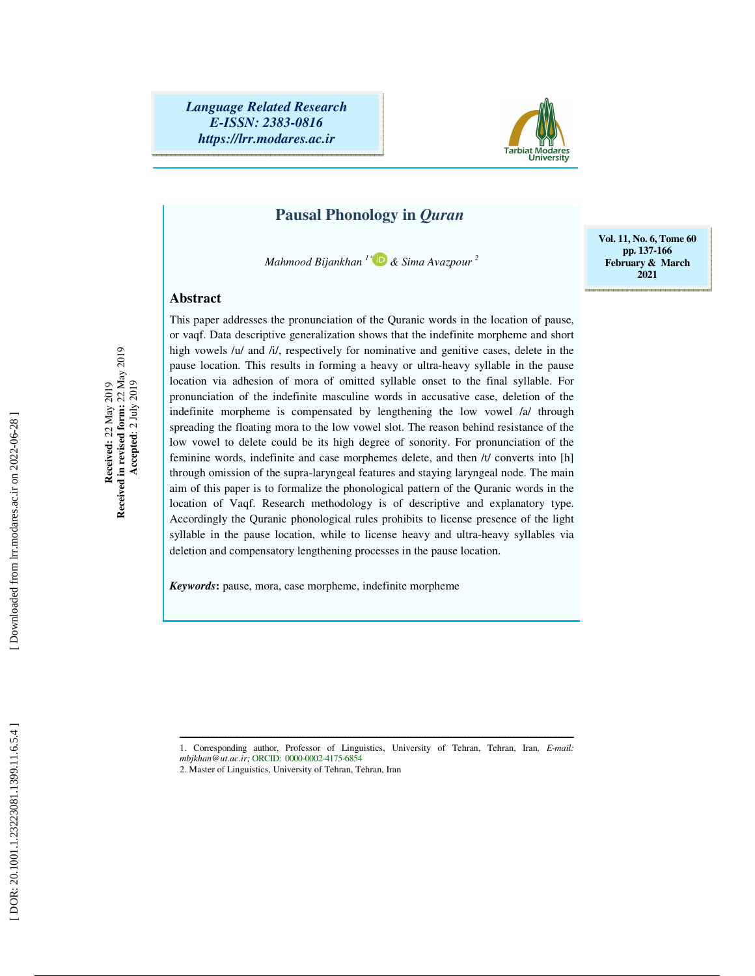

## **Pausal Phonology in** *Quran*

*Mahmood Bijankhan 1* \*  *& Sima Avazpour 2*

### **Abstract**

Received:  $22$  May 2019<br>Received in revised form:  $22$  May 2019<br>Accepted:  $2$  July 2019 **Received in revised form:** 22 May 2019  **Accepted**: 2 July 2019 **Received:** 22 May 2019

This paper addresses the pronunciation of the Quranic words in the location of pause, or vaqf. Data descriptive generalization shows that the indefinite morpheme and short high vowels /u/ and /i/, respectively for nominative and genitive cases, delete in the pause location. This results in forming a heavy or ultra-heavy syllable in the pause location via adhesion of mora of omitted syllable onset to the final syllable. For pronunciation of the indefinite masculine words in accusative case, deletion of the indefinite morpheme is compensated by lengthening the low vowel /a/ through spreading the floating mora to the low vowel slot. The reason behind resistance of the low vowel to delete could be its high degree of sonority. For pronunciation of the feminine words, indefinite and case morphemes delete, and then /t/ converts into [h] through omission of the supra-laryngeal features and staying laryngeal node. The main aim of this paper is to formalize the phonological pattern of the Quranic words in the location of Vaqf. Research methodology is of descriptive and explanatory type. Accordingly the Quranic phonological rules prohibits to license presence of the light syllable in the pause location, while to license heavy and ultra-heavy syllables via deletion and compensatory lengthening processes in the pause location.

*Keywords***:** pause, mora, case morpheme, indefinite morpheme

**Vol. 11, No. 6, Tome 60 pp. 137-166 February & March 2021** 

ــــــــــــــــــــــــــــــــــــــــــــــــــــــــــــــــــــــــــــــــــــــــــــــــــــــــــــــــــــــــــــــــــــــــــ 1. Corresponding author, Professor of Linguistics, University of Tehran, Tehran, Iran*, E-mail: mbjkhan@ut.ac.ir;* ORCID: 0000-0002-4175-6854

<sup>2.</sup> Master of Linguistics, University of Tehran, Tehran, Iran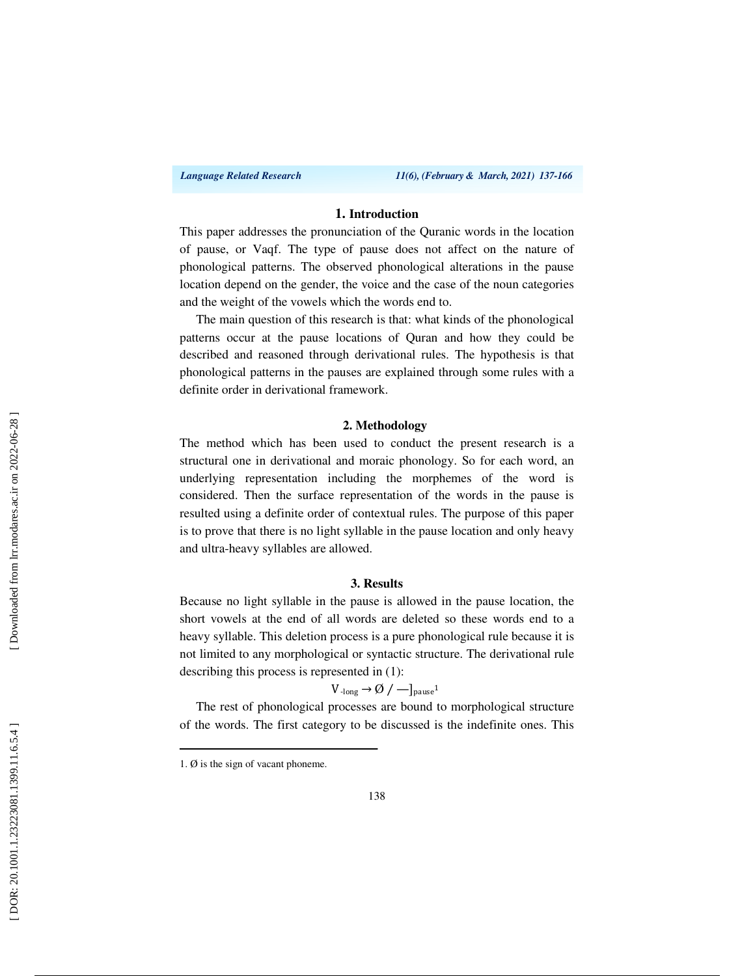### **1. Introduction**

This paper addresses the pronunciation of the Quranic words in the location of pause, or Vaqf. The type of pause does not affect on the nature of phonological patterns. The observed phonological alterations in the pause location depend on the gender, the voice and the case of the noun categories and the weight of the vowels which the words end to.

The main question of this research is that: what kinds of the phonological patterns occur at the pause locations of Quran and how they could be described and reasoned through derivational rules. The hypothesis is that phonological patterns in the pauses are explained through some rules with a definite order in derivational framework.

### **2. Methodology**

The method which has been used to conduct the present research is a structural one in derivational and moraic phonology. So for each word, an underlying representation including the morphemes of the word is considered. Then the surface representation of the words in the pause is resulted using a definite order of contextual rules. The purpose of this paper is to prove that there is no light syllable in the pause location and only heavy and ultra-heavy syllables are allowed.

### **3. Results**

Because no light syllable in the pause is allowed in the pause location, the short vowels at the end of all words are deleted so these words end to a heavy syllable. This deletion process is a pure phonological rule because it is not limited to any morphological or syntactic structure. The derivational rule describing this process is represented in (1):

$$
V_{\text{-long}} \rightarrow \emptyset / -]_{\text{pause}^1}
$$

The rest of phonological processes are bound to morphological structure of the words. The first category to be discussed is the indefinite ones. This

<sup>1.</sup>  $\emptyset$  is the sign of vacant phoneme.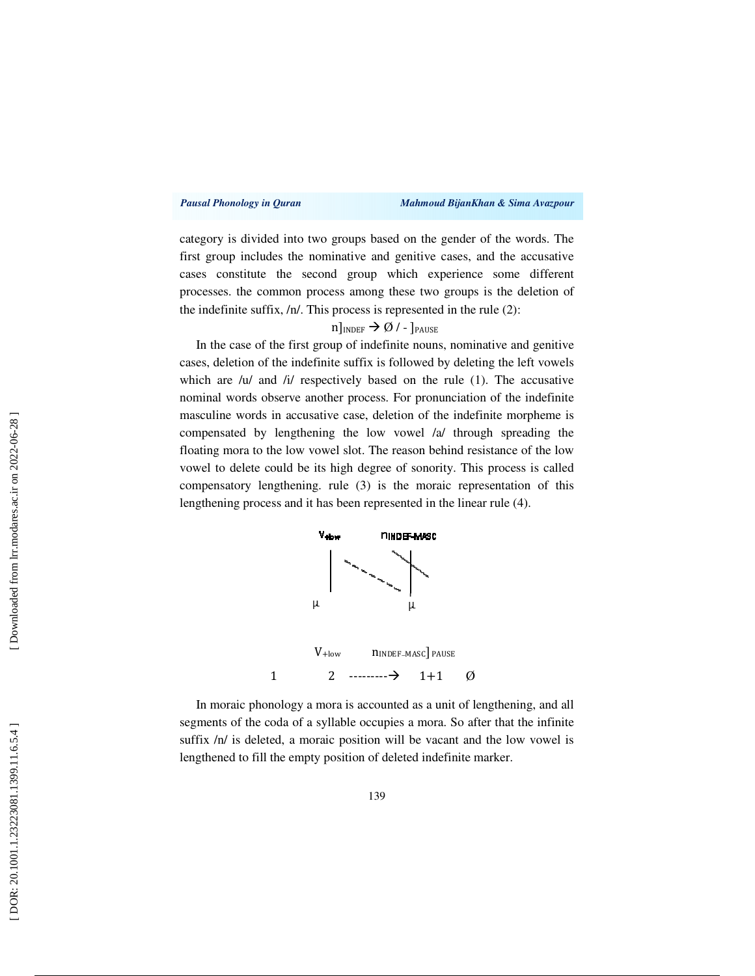### *Pausal Phonology in Quran Mahmoud BijanKhan & Sima Avazpour*

category is divided into two groups based on the gender of the words. The first group includes the nominative and genitive cases, and the accusative cases constitute the second group which experience some different processes. the common process among these two groups is the deletion of the indefinite suffix, /n/. This process is represented in the rule (2):

## $n]_{\text{INDEX}} \rightarrow \emptyset$  / - ]  $_{\text{PAUSE}}$

In the case of the first group of indefinite nouns, nominative and genitive cases, deletion of the indefinite suffix is followed by deleting the left vowels which are /u/ and /i/ respectively based on the rule (1). The accusative nominal words observe another process. For pronunciation of the indefinite masculine words in accusative case, deletion of the indefinite morpheme is compensated by lengthening the low vowel /a/ through spreading the floating mora to the low vowel slot. The reason behind resistance of the low vowel to delete could be its high degree of sonority. This process is called compensatory lengthening. rule (3) is the moraic representation of this lengthening process and it has been represented in the linear rule (4).



In moraic phonology a mora is accounted as a unit of lengthening, and all segments of the coda of a syllable occupies a mora. So after that the infinite suffix  $/n/$  is deleted, a moraic position will be vacant and the low vowel is lengthened to fill the empty position of deleted indefinite marker.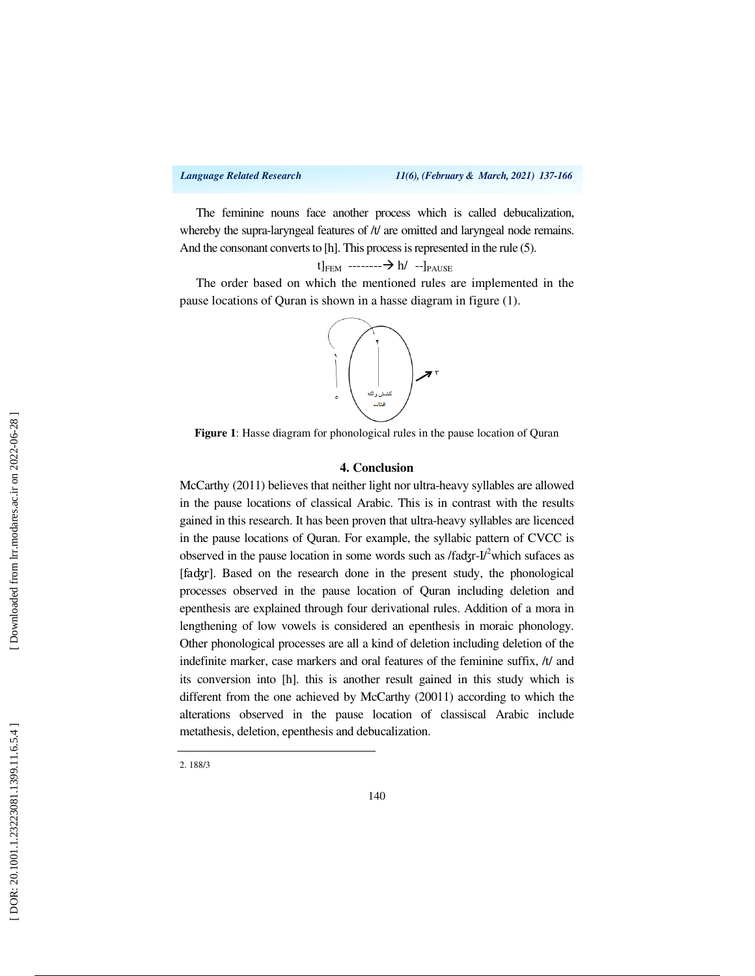The feminine nouns face another process which is called debucalization, whereby the supra-laryngeal features of  $/t/$  are omitted and laryngeal node remains. And the consonant converts to [h]. This process is represented in the rule (5).

$$
t]_{\text{FEM}}\ \text{-----} \text{--} \text{--} \text{--} \text{--} \text{--} \text{--} \text{--}
$$

The order based on which the mentioned rules are implemented in the pause locations of Quran is shown in a hasse diagram in figure (1).



**Figure 1**: Hasse diagram for phonological rules in the pause location of Quran

### **4. Conclusion**

McCarthy (2011) believes that neither light nor ultra-heavy syllables are allowed in the pause locations of classical Arabic. This is in contrast with the results gained in this research. It has been proven that ultra-heavy syllables are licenced in the pause locations of Quran. For example, the syllabic pattern of CVCC is observed in the pause location in some words such as /fadgr-I/<sup>2</sup>which sufaces as [faʤr]. Based on the research done in the present study, the phonological processes observed in the pause location of Quran including deletion and epenthesis are explained through four derivational rules. Addition of a mora in lengthening of low vowels is considered an epenthesis in moraic phonology. Other phonological processes are all a kind of deletion including deletion of the indefinite marker, case markers and oral features of the feminine suffix, /t/ and its conversion into [h]. this is another result gained in this study which is different from the one achieved by McCarthy (20011) according to which the alterations observed in the pause location of classiscal Arabic include metathesis, deletion, epenthesis and debucalization .

2. 188/3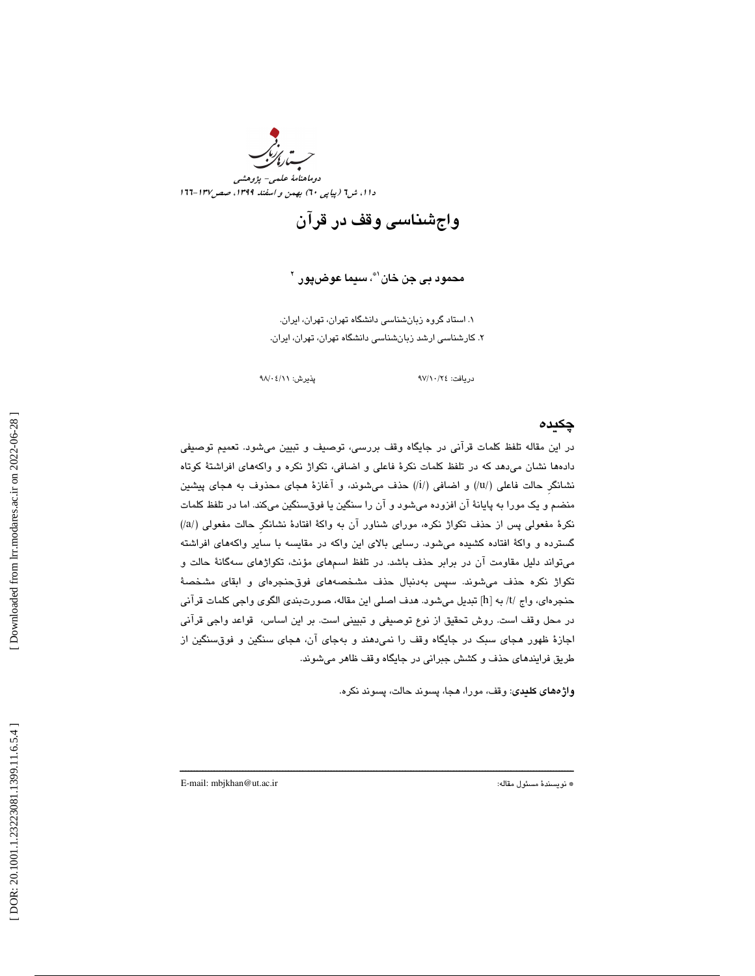

واجشناسي وقف در قرآن

محمود ب*ي* جن خان`"، سيما عوضپور `

 1. استاد گروه زبانشناسي دانشگاه تهران، تهران، ايران. 2. كارشناسي ارشد زبانشناسي دانشگاه تهران، تهران، ايران.

دريافت: 24/ 10/ 97 پذيرش: 11/ 04/ 98

## چكيده

در اين مقاله تلفظ كلمات قرآني در جايگاه وقف بررسي، توصيف و تبيين ميشود. تعميم توصيفي دادهها نشان ميدهد كه در تلفظ كلمات نكرة فاعلي و اضافي، تكواژ نكره و واكههاي افراشتة كوتاه نشانگر حالت فاعلی (/u/) و اضافی (/i/) حذف میشوند، و آغازهٔ هجای محذوف به هجای پیشین منضم و يك مورا به پايانة آن افزوده ميشود و آن را سنگين يا فوقسنگين ميكند. اما در تلفظ كلمات (/ نكرة مفعولي پس از حذف تكواژ نكره، موراي شناور آن به واكة افتادة نشانگرِ حالت مفعولي (/a گسترده و واكة افتاده كشيده ميشود. رسايي بالاي اين واكه در مقايسه با ساير واكههاي افراشته ميتواند دليل مقاومت آن در برابر حذف باشد. در تلفظ اسمهاي مؤنث، تكواژهاي سهگانة حالت و تكواژ نكره حذف ميشوند. سپس بهدنبال حذف مشخصههاي فوقحنجرهاي و ابقاي مشخصة حنجرهاي، واج /t/ به [h] تبديل ميشود. هدف اصلي اين مقاله، صورتبندي الگوي واجي كلمات قرآني در محل وقف است. روش تحقيق از نوع توصيفي و تبييني است. بر اين اساس، قواعد واجي قرآني اجازة ظهور هجاي سبك در جايگاه وقف را نميدهند و بهجاي آن، هجاي سنگين و فوقسنگين از طريق فرايندهاي حذف و كشش جبراني در جايگاه وقف ظاهر ميشوند.

ــــــــــــــــــــــــــــــــــــــــــــــــــــــــــــــــــــــــــــــــــــــــــــــــــــــــــــــــــــــــــــــــــــــــــ

واژههاي كليدي: وقف، مورا، هجا، پسوند حالت، پسوند نكره.

E-mail: mbjkhan@ut.ac.ir :مقاله مسئول نويسندة\*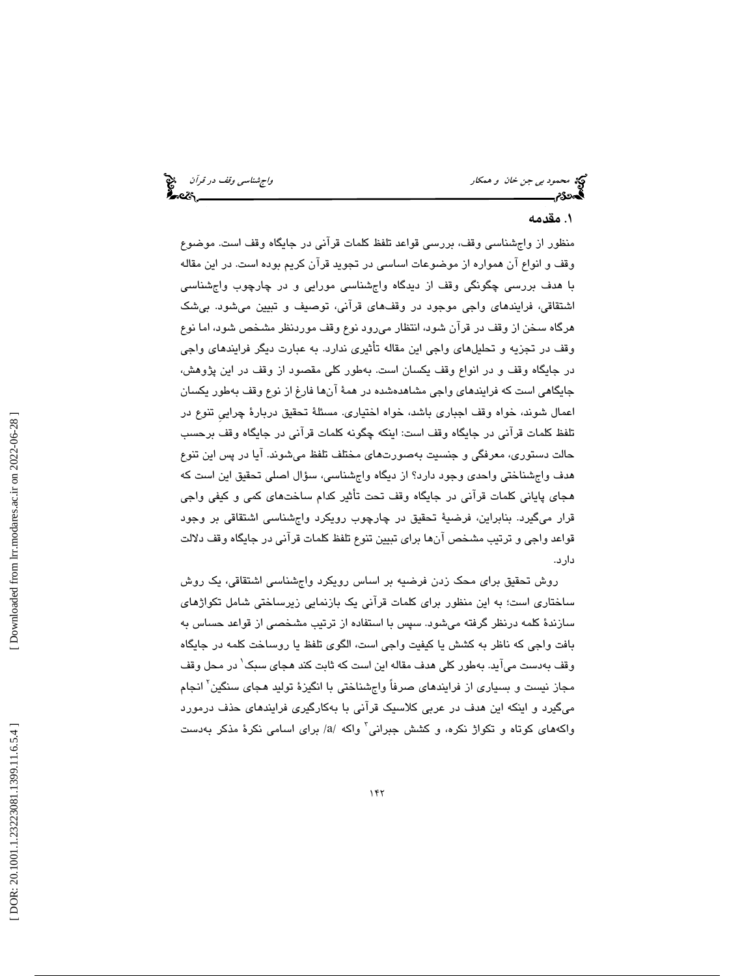محمود بي جن *خان و همكار واجتمع المحمود بي جن خان و همكار واجشناسي وقف در قرآن واجهتا*<br>**محمد در قرآن المحمول و اجتماع المحمول المحمول المحمول المحمول المحمول المحمول المحمول المحمول المحمول المحمول ا** 

### 1. مقدمه

منظور از واجشناسي وقف، بررسي قواعد تلفظ كلمات قرآني در جايگاه وقف است. موضوع وقف و انواع آن همواره از موضوعات اساسي در تجويد قرآن كريم بوده است. در اين مقاله با هدف بررسي چگونگي وقف از ديدگاه واجشناسي مورايي و در چارچوب واجشناسي اشتقاقي، فرايندهاي واجي موجود در وقفهاي قرآني، توصيف و تبيين ميشود. بيشك هرگاه سخن از وقف در قرآن شود، انتظار ميرود نوع وقف موردنظر مشخص شود، اما نوع وقف در تجزيه و تحليلهاي واجي اين مقاله تأثيري ندارد. به عبارت ديگر فرايندهاي واجي در جايگاه وقف و در انواع وقف يكسان است. به طور كلي مقصود از وقف در اين پژوهش، جايگاهي است كه فرايندهاي واجي مشاهدهشده در همة آنها فارغ از نوع وقف بهطور يكسان اعمال شوند، خواه وقف اجباري باشد، خواه اختياري. مسئلة تحقيق دربارة چراييِ تنوع در تلفظ كلمات قرآني در جايگاه وقف است: اينكه چگونه كلمات قرآني در جايگاه وقف برحسب حالت دستوري، معرفگي و جنسيت بهصورتهاي مختلف تلفظ ميشوند. آيا در پس اين تنوع هدف واجشناختي واحدي وجود دارد؟ از ديگاه واجشناسي، سؤال اصلي تحقيق اين است كه هجاي پاياني كلمات قرآني در جايگاه وقف تحت تأثير كدام ساختهاي كمي و كيفي واجي قرار ميگيرد. بنابراين، فرضية تحقيق در چارچوب رويكرد واجشناسي اشتقاقي بر وجود قواعد واجي و ترتيب مشخص آنها براي تبيين تنوع تلفظ كلمات قرآني در جايگاه وقف دلالت دارد.

روش تحقيق براي محك زدن فرضيه بر اساس رويكرد واجشناسي اشتقاقي، يك روش ساختاري است؛ به اين منظور براي كلمات قرآني يك بازنمايي زيرساختي شامل تكواژهاي سازندة كلمه درنظر گرفته ميشود. سپس با استفاده از ترتيب مشخصي از قواعد حساس به بافت واجي كه ناظر به كشش يا كيفيت واجي است، الگوي تلفظ يا روساخت كلمه در جايگاه وقف بهدست ميآيد. بهطور كلي هدف مقاله اين است كه ثابت كند هجاي سبك 1 در محل وقف مجاز نيست و بسيارى از فرايندهاى صرفاً واجشناختى با انگيزهٔ توليد هجاى سنگين<sup>۲</sup> انجام ميگيرد و اينكه اين هدف در عربي كلاسيك قرآني با بهكارگيري فرايندهاي حذف درمورد واكههای كوتاه و تكواژ نكره، و كشش جبرانی<sup>۳</sup> واكه /a/ برای اسامی نكرهٔ مذكر بهدست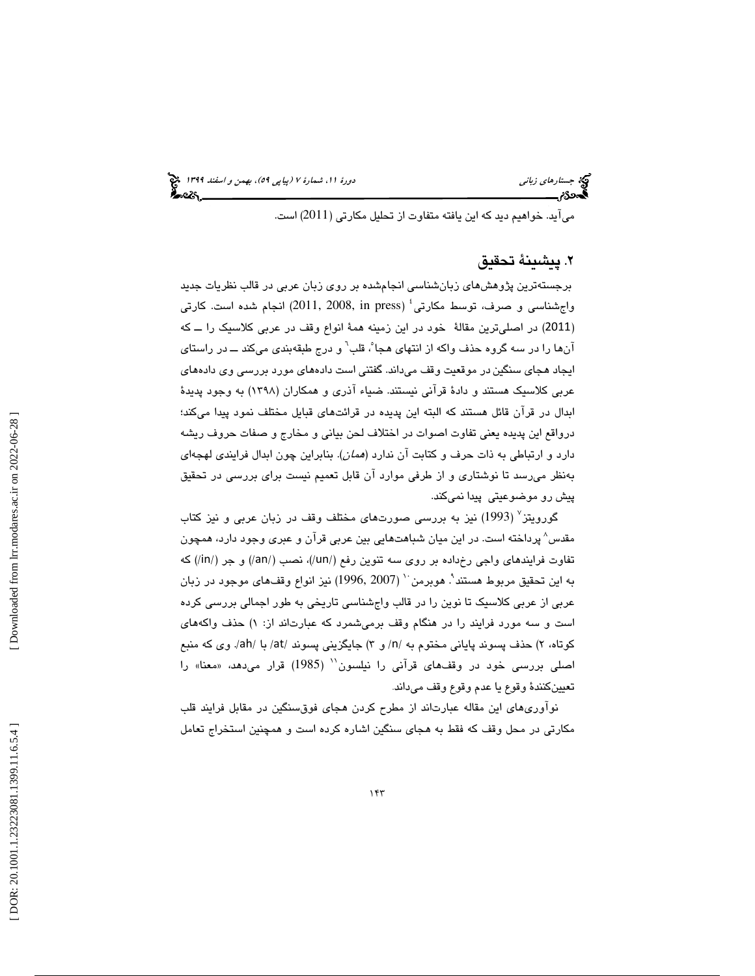ميآيد. خواهيم ديد كه اين يافته متفاوت از تحليل مكارتي (2011) است.

## . پيشينة تحقيق 2

برجستهترين پژوهشهاي زبانشناسي انجامشده بر روي زبان عربي در قالب نظريات جديد واج شناسی و صرف، توسط مکارتی $^{\rm t}$  (2008, in press) انجام شده است. کارتی 2011) در اصليترين مقالة خود در اين زمينه همة انواع وقف در عربي كلاسيك را ــ كه ) آنها را در سه گروه حذف واكه از انتهاى هجا ْ، قلب ْ و درج طبقهبندى مىكند ـــ در راستاى ايجاد هجاي سنگين در موقعيت وقف ميداند. گفتني است دادههاي مورد بررسي وي دادههاي عربي كلاسيك هستند و دادة قرآني نيستند. ضياء آذري و همكاران (1398) به وجود پديدة بدال در قرآن قائل هستند كه البته اين پديده در قرائتهاي قبايل مختلف نمود پيدا ميكند؛ ا درواقع اين پديده يعني تفاوت اصوات در اختلاف لحن بياني و مخارج و صفات حروف ريشه دارد و ارتباطي به ذات حرف و كتابت آن ندارد (همان). بنابراين چون ابدال فرايندي لهجهاي بهنظر ميرسد تا نوشتاري و از طرفي موارد آن قابل تعميم نيست براي بررسي در تحقيق پيش رو موضوعيتي پيدا نميكند.

گورويتز<sup>،</sup> (1993) نيز به بررسى صورتهاى مختلف وقف در زبان عربى و نيز كتاب مقدس 8 پرداخته است. در اين ميان شباهتهايي بين عربي قرآن و عبري وجود دارد، همچون تفاوت فرايندهاي واجي رخداده بر روي سه تنوين رفع (/un/(، نصب (/an/ (و جر (/in/ (كه به اين تحقيق مربوط هستند". هوبرمن `` (1996, 2007) نيز انواع وقفهاي موجود در زبان عربي از عربي كلاسيك تا نوين را در قالب واجشناسي تاريخي به طور اجمالي بررسي كرده است و سه مورد فرايند را در هنگام وقف برمىشمرد كه عبارتاند از: ۱) حذف واكههاى کوتاه، ۲) حذف پسوند پایانی مختوم به /n/ و ۳) جایگزینی پسوند /at/ با /ah/. وی که منبع اصلی بررسی خود در وقفـهای قرآنی را نیلسون`` (1985) قرار میدهد، «معنا» را تعيينكنندة وقوع يا عدم وقوع وقف ميداند .

نوآوريهاي اين مقاله عبارتاند از مطرح كردن هجاي فوقسنگين در مقابل فرايند قلب 4 مكارتي در محل وقف كه فقط به هجاي سنگين اشاره كرده است و همچنين استخراج تعامل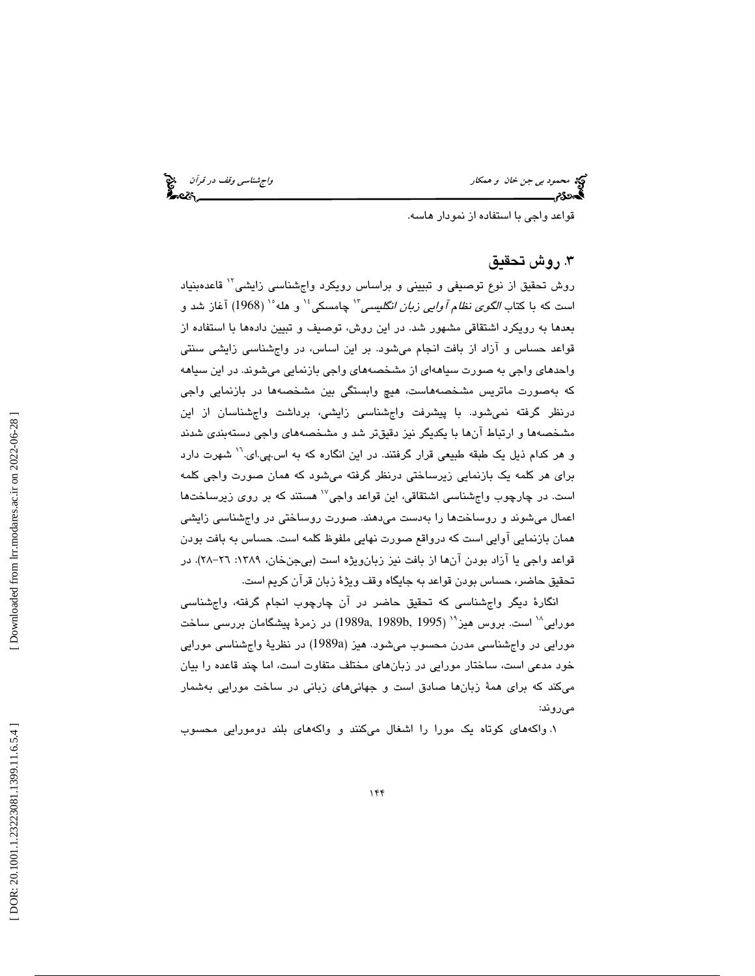محمود بي جن خان و همكار واجتمع المحمد بي جن خان و همكار واجشناسي وقف در قرآن<br>المحمد عليه المحمد المحمد المحمد المحمد المحمد المحمد المحمد المحمد المحمد المحمد المحمد المحمد المحمد المحمد

قواعد واجي با استفاده از نمودار هاسه.

## . روش تحقيق 3

روش تحقيق از نوع توصيفي و تبييني و براساس رويكرد واجشناسي زايشي<sup>۱۲</sup> قاعدهبنياد است كه با كتاب *الگوى نظام آوايى زبان انگليسى*" چامسكى<sup>،</sup>' و هله°' (1968) آغاز شد و بعدها به رويكرد اشتقاقي مشهور شد. در اين روش، توصيف و تبيين دادهها با استفاده از قواعد حساس و آزاد از بافت انجام ميشود. بر اين اساس، در واجشناسي زايشي سنتي واحدهاي واجي به صورت سياههاي از مشخصههاي واجي بازنمايي ميشوند. در اين سياهه كه بهصورت ماتريس مشخصههاست، هيچ وابستگي بين مشخصهها در بازنمايي واجي درنظر گرفته نميشود. با پيشرفت واجشناسي زايشي، برداشت واجشناسان از اين مشخصهها و ارتباط آنها با يكديگر نيز دقيقتر شد و مشخصههاي واجي دستهبندي شدند و هر كدام ذيل يك طبقه طبيعي قرار گرفتند. در اين انگاره كه به اس.پي.اي.<sup>۱۰</sup> شهرت دارد براي هر كلمه يك بازنمايي زيرساختي درنظر گرفته ميشود كه همان صورت واجي كلمه است. در چارچوب واجشناسی اشتقاقی، این قواعد واجی<sup>۱۷</sup> هستند که بر روی زیرساختها اعمال میشوند و روساختها را بهدست میدهند. صورت روساختی در واجشناسی زایشی همان بازنمايي آوايي است كه درواقع صورت نهايي ملفوظ كلمه است. حساس به بافت بودن قواعد واجي يا آزاد بودن آنها از بافت نيز زبان1ويژه است (بيجنخان، ١٣٨٩: ٢٦–٢٨). در تحقيق حاضر، حساس بودن قواعد به جايگاه وقف ويژة زبان قرآن كريم است.

انگارة ديگر واجشناسي كه تحقيق حاضر در آن چارچوب انجام گرفته، واجشناسي مورايي<sup>1⁄4</sup> است. بروس هيز<sup>٢٠</sup> (1995 ,1989 ,1989 ,1989 ) در زمرهٔ پيشگامان بررس*ي* ساخت مورايي در واجشناسي مدرن محسوب ميشود. هيز (a1989 (در نظرية واجشناسي مورايي خود مدعي است، ساختار مورايي در زبانهاي مختلف متفاوت است، اما چند قاعده را بيان ميكند كه براي همة زبانها صادق است و جهانيهاي زباني در ساخت مورايي بهشمار ميروند:

. واكههاي كوتاه يك مورا را اشغال ميكنند و واكههاي بلند دومورايي محسوب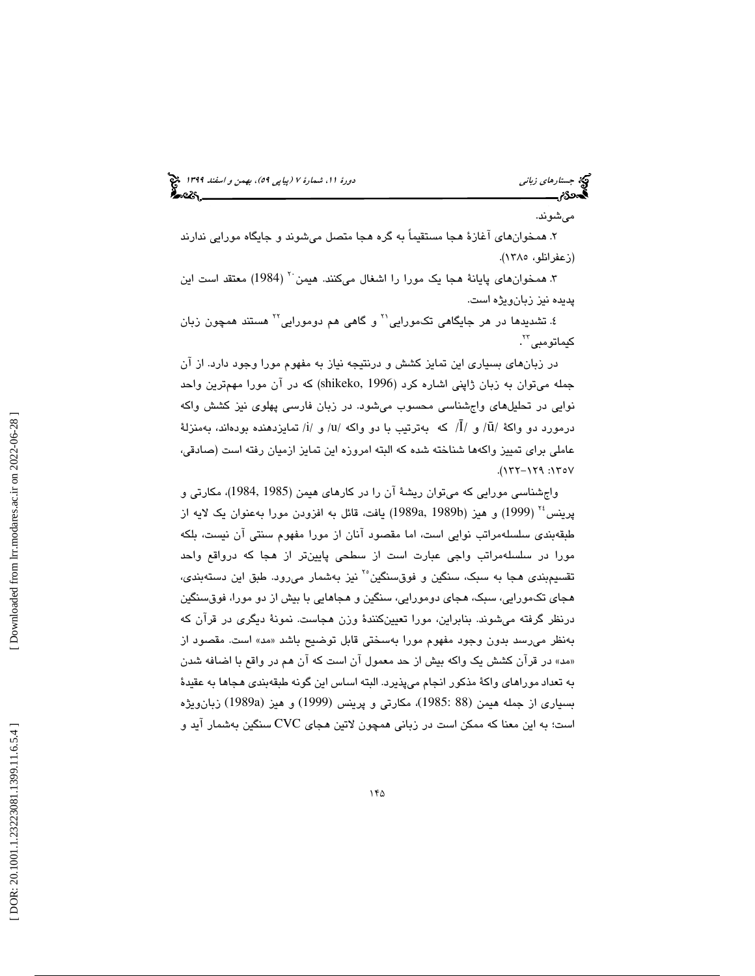# جستاره*اي زباني هاي بيمن و اسفند 1*139 او استداره من دورة المستد 1394 و استدارهاي كون دور استغنار 1394 ا

ميشوند.

. همخوانهاي آغازة هجا مستقيماً به گره هجا متصل ميشوند و جايگاه مورايي ندارند (زعفرانلو، 1385).

۳. همخوانهای پایانهٔ هجا یک مورا را اشغال میکنند. هیمن<sup>۲۰</sup> (1984) معتقد است این پديده نيز زبانويژه است.

٤. تشدیدها در هر جایگاهی تکمورایی<sup>۲۱</sup> و گاهی هم دومورایی<sup>۲۲</sup> هستند همچون زبان كيماتومب*ى* ``.

در زبانهاي بسياري اين تمايز كشش و درنتيجه نياز به مفهوم مورا وجود دارد. از آن جمله ميتوان به زبان ژاپني اشاره كرد (1996 ,shikeko ( كه در آن مورا مهمترين واحد نوايي در تحليلهاي واجشناسي محسوب ميشود. در زبان فارسي پهلوي نيز كشش واكه درمورد دو واکهٔ /ū/ و /Ī/ که بهترتیب با دو واکه /u/ و /i/ تمایزدهنده بودهاند، بهمنزلهٔ عاملي براي تمييز واكهها شناخته شده كه البته امروزه اين تمايز ازميان رفته است (صادقي، ۱۳۵۷: ۱۲۹–۱۲۲).

واجشناسي مورايي كه ميتوان ريشة آن را در كارهاي هيمن (1985 1984,)، مكارتي و پرينس<sup>،۲</sup> (1999) و هيز (1989b ,1989a إيافت، قائل به افزودن مورا بهعنوان يك لايه از طبقهبندي سلسلهمراتب نوايي است، اما مقصود آنان از مورا مفهوم سنتي آن نيست، بلكه مورا در سلسلهمراتب واجي عبارت است از سطحي پايينتر از هجا كه درواقع واحد تقسيم بندي هجا به سبک، سنگين و فوقسنگين<sup>٢٠</sup> نيز بهشمار مي رود. طبق اين دسته بندي، هجاي تكمورايي، سبك، هجاي دومورايي، سنگين و هجاهايي با بيش از دو مورا، فوقسنگين درنظر گرفته ميشوند. بنابراين، مورا تعيينكنندة وزن هجاست. نمونة ديگري در قرآن كه بهنظر میرسد بدون وجود مفهوم مورا بهسختی قابل توضیح باشد «مد» است. مقصود از مد» در قرآن كشش يك واكه بيش از حد معمول آن است كه آن هم در واقع با اضافه شدن » به تعداد موراهاي واكة مذكور انجام ميپذيرد. البته اساس اين گونه طبقهبندي هجاها به عقيدة بسياري از جمله هيمن (88 1985:)، مكارتي و پرينس (1999) و هيز (a1989 (زبانويژه است؛ به اين معنا كه ممكن است در زباني همچون لاتين هجاي CVC سنگين بهشمار آيد و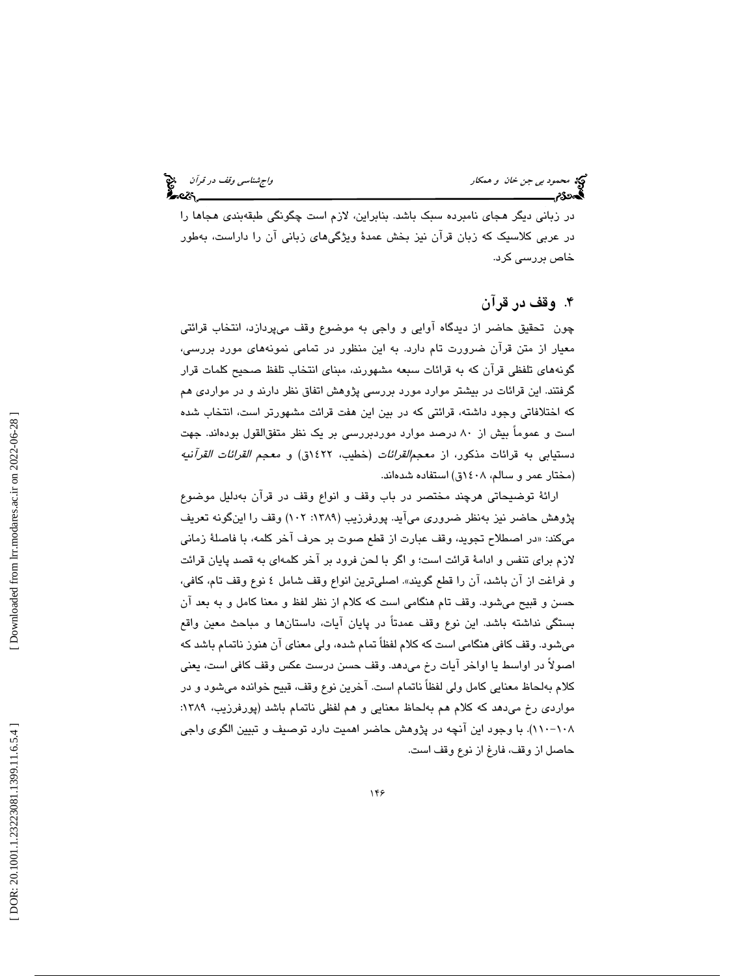محمود بي جن خان و همكار واجتناسي وقف در قرآن متحمد بي جن خان و همكار واجشناسي وقف در قرآن متحمد بي المجتمعة ال<br>المحمد المجتمعة المجتمعة المجتمعة المجتمعة المجتمعة المجتمعة المجتمعة المجتمعة المجتمعة المجتمعة المجتمعة المج

در زباني ديگر هجاي نامبرده سبك باشد. بنابراين، لازم است چگونگي طبقهبندي هجاها را در عربي كلاسيك كه زبان قرآن نيز بخش عمدة ويژگيهاي زباني آن را داراست، بهطور خاص بررسي كرد.

## . وقف در قرآن 4

چون تحقيق حاضر از ديدگاه آوايي و واجي به موضوع وقف ميپردازد، انتخاب قرائتي معيار از متن قرآن ضرورت تام دارد. به اين منظور در تمامي نمونههاي مورد بررسي، گونههاي تلفظي قرآن كه به قرائات سبعه مشهورند، مبناي انتخاب تلفظ صحيح كلمات قرار گرفتند. اين قرائات در بيشتر موارد مورد بررسي پژوهش اتفاق نظر دارند و در مواردي هم كه اختلافاتي وجود داشته، قرائتي كه در بين اين هفت قرائت مشهورتر است، انتخاب شده است و عموماً بيش از 80 درصد موارد موردبررسي بر يك نظر متفقالقول بودهاند. جهت دستيابي به قرائات مذكور، از معجمالقرائات (خطيب، 1422ق) و معجم القرائات القرآنيه (مختار عمر و سالم، 1408ق) استفاده شدهاند.

ارائة توضيحاتي هرچند مختصر در باب وقف و انواع وقف در قرآن بهدليل موضوع پژوهش حاضر نيز بهنظر ضروري ميآيد. پورفرزيب (١٣٨٩: ١٠٢) وقف را اينگونه تعريف در اصطلاح تجويد، وقف عبارت از قطع صوت بر حرف آخر كلمه، با فاصلة زماني ميكند: « لازم براي تنفس و ادامة قرائت است؛ و اگر با لحن فرود بر آخر كلمهاي به قصد پايان قرائت و فراغت از آن باشد، آن را قطع گويند». اصليترين انواع وقف شامل 4 نوع وقف تام، كافي، حسن و قبيح ميشود. وقف تام هنگامي است كه كلام از نظر لفظ و معنا كامل و به بعد آن بستگي نداشته باشد. اين نوع وقف عمدتاً در پايان آيات، داستانها و مباحث معين واقع ميشود. وقف كافي هنگامي است كه كلام لفظاً تمام شده، ولي معناي آن هنوز ناتمام باشد كه اصولاً در اواسط يا اواخر آيات رخ ميدهد. وقف حسن درست عكس وقف كافي است، يعني كلام بهلحاظ معنايي كامل ولي لفظاً ناتمام است. آخرين نوع وقف، قبيح خوانده ميشود و در مواردي رخ مي دهد كه كلام هم بهلحاظ معنايي و هم لفظي ناتمام باشد (پورفرزيب، ١٣٨٩: ۱۱۰–۱۱۰). با وجود اين انچه در پژوهش حاضر اهميت دارد توصيف و تبيين الگوی واجی حاصل از وقف، فارغ از نوع وقف است.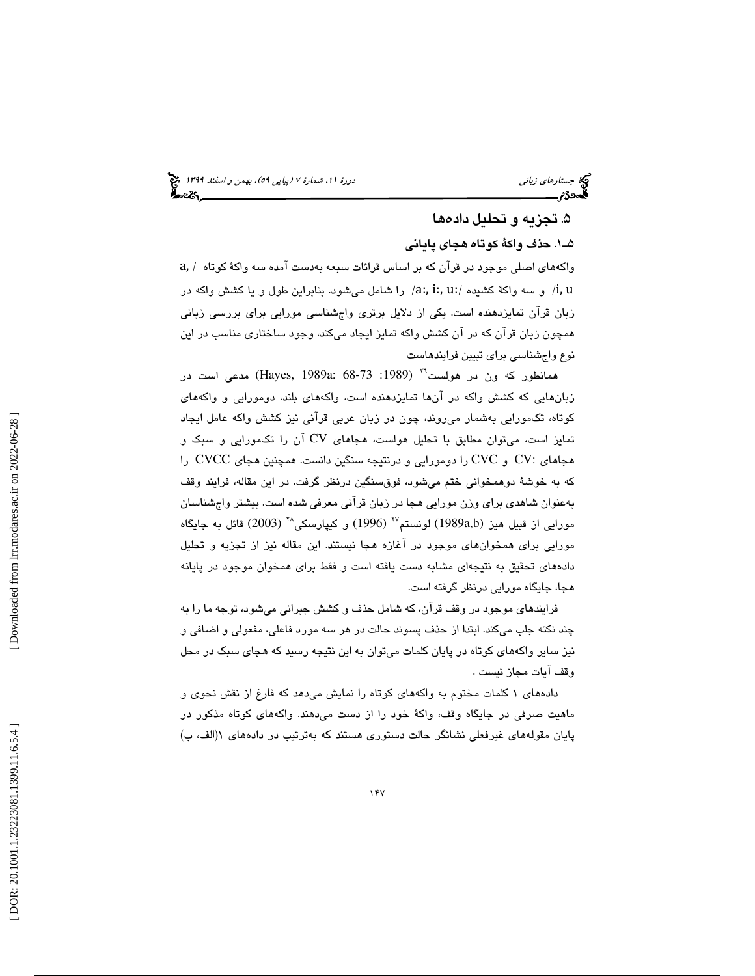### تجزيه و تحليل دادهها 5 .

1ـ5 . حذف واكة كوتاه هجاي پاياني

a, واكههاي اصلي موجود در قرآن كه بر اساس قرائات سبعه بهدست آمده سه واكة كوتاه / :u :,i :,a / را شامل ميشود. بنابراين طول و يا كشش واكه در و سه واكة كشيده / /i, u زبان قرآن تمايزدهنده است. يكي از دلايل برتري واجشناسي مورايي براي بررسي زباني همچون زبان قرآن كه در آن كشش واكه تمايز ايجاد ميكند، وجود ساختاري مناسب در اين نوع واجشناسي براي تبيين فرايندهاست

همانطور كه ون در هولست<sup>71</sup> (Hayes, 1989a: 68-73 :1989 ) مدعى است در زبانهايي كه كشش واكه در آنها تمايزدهنده است، واكههاي بلند، دومورايي و واكههاي كوتاه، تكمورايي بهشمار ميروند، چون در زبان عربي قرآني نيز كشش واكه عامل ايجاد تمايز است، ميتوان مطابق با تحليل هولست، هجاهاي CV آن را تكمورايي و سبك و هجاهاي :CV و CVC را دومورايي و درنتيجه سنگين دانست. همچنين هجاي CVCC را كه به خوشة دوهمخواني ختم ميشود، فوقسنگين درنظر گرفت. در اين مقاله، فرايند وقف بهعنوان شاهدي براي وزن مورايي هجا در زبان قرآني معرفي شده است. بيشتر واجشناسان مورايي از قبيل هيز (1989a,b) لونستم $^{Y^{\backprime}}$  (1996) و كيپارسكي $^{Y^{\backprime}}$  (2003) قائل به جايگاه مورايي براي همخوانهاي موجود در آغازه هجا نيستند. اين مقاله نيز از تجزيه و تحليل دادههاي تحقيق به نتيجهاي مشابه دست يافته است و فقط براي همخوان موجود در پايانه هجا، جايگاه مورايي درنظر گرفته است.

فرايندهاي موجود در وقف قرآن، كه شامل حذف و كشش جبراني ميشود، توجه ما را به چند نكته جلب ميكند. ابتدا از حذف پسوند حالت در هر سه مورد فاعلي، مفعولي و اضافي و نيز ساير واكههاي كوتاه در پايان كلمات ميتوان به اين نتيجه رسيد كه هجاي سبك در محل وقف آيات مجاز نيست .

دادههاي 1 كلمات مختوم به واكههاي كوتاه را نمايش ميدهد كه فارغ از نقش نحوي و ماهيت صرفي در جايگاه وقف، واكة خود را از دست ميدهند. واكههاي كوتاه مذكور در پایان مقولههای غیرفعلی نشانگر حالت دستوری هستند که بهترتیب در دادههای ۱(الف، ب)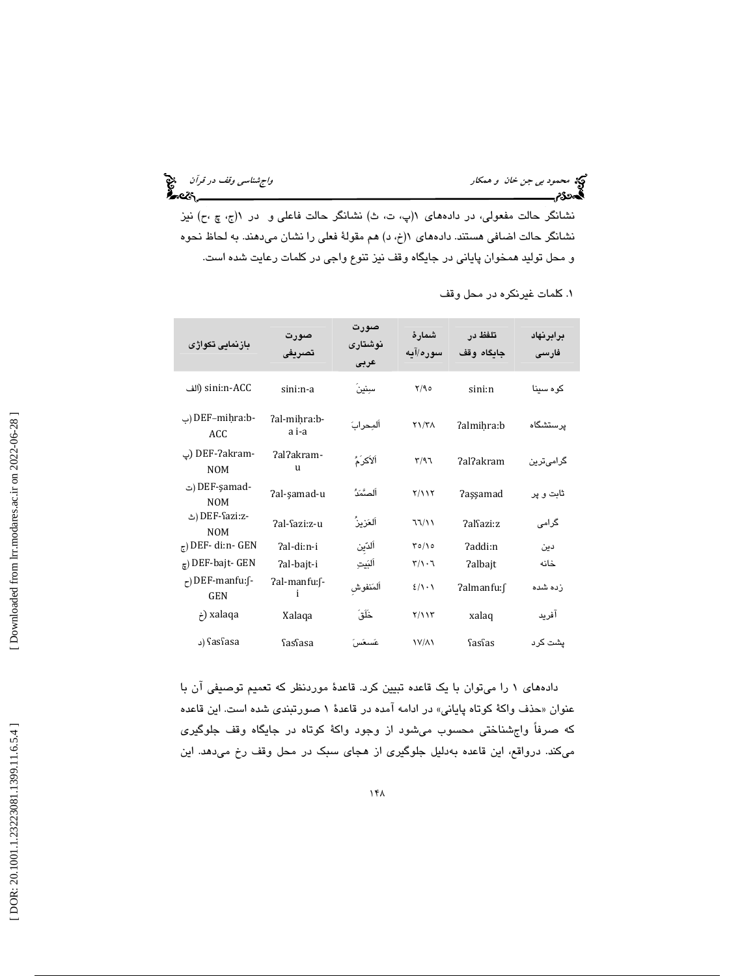محمود بي جن خان و همكار واجتشاسي وقف در قرآن معلمي المحمود بي جن خان و همكار واجشناسي وقف در قرآن معلمي<br>**المحمدى(محمود المحمود المحمود المحمود المحمود المحمود المحمود المحمود المحمود المحمود المحمود المحمود المحمود** 

نشانگر حالت مفعولی، در دادههای ۱(پ، ت، ث) نشانگر حالت فاعلی و در ۱(ج، چ ،ح) نیز نشانگر حالت اضافی هستند. دادههای ۱(خ، د) هم مقولهٔ فعلی را نشان میدهند. به لحاظ نحوه و محل توليد همخوان پاياني در جايگاه وقف نيز تنوع واجي در كلمات رعايت شده است.

| بازنمایی تکواژی                                | صورت<br>تصريفي             | صورت<br>نوشتارى<br>عربى | شمارهٔ<br>سوره/آیه                       | تلفظ در<br>جاىگاە وقف | برابرنهاد<br>فارسى |
|------------------------------------------------|----------------------------|-------------------------|------------------------------------------|-----------------------|--------------------|
| sini:n-ACC (الف                                | sini:n-a                   | سننين                   | Y/90                                     | sini:n                | کو ہ سینا          |
| -DEF-mihra:b (ب<br>ACC                         | ?al-mihra:b-<br>a i-a      | ألمحرابَ                | $Y\1/T$                                  | ?almihra:b            | يرستشگاه           |
| -DEF-?akram (پ<br><b>NOM</b>                   | ?al?akram-<br>$\mathbf{u}$ | ٱلأكرُمُّ               | Y/97                                     | ?al?akram             | گرامیترین          |
| -DEF-şamad (ت<br><b>NOM</b>                    | 7al-şamad-u                | ألصَّمَدُّ              | Y/11Y                                    | <b>?assamad</b>       | ثابت و پر          |
| -DEF-Sazi:z (ٹ<br><b>NOM</b>                   | ?al-Sazi:z-u               | ألعَزيزُ                | 77/11                                    | ?alfazi:z             | گرامی              |
| $_{\tau}$ ) DEF-di:n-GEN                       | ?al-di:n-i                 | ألدين                   | $\Gamma \circ / \Delta$                  | ?addi:n               | دىن                |
| $_{\epsilon}$ ) DEF-bajt- GEN                  | ?al-bajt-i                 | أليَيتِ                 | $\mathbf{r}/\mathbf{v} \cdot \mathbf{r}$ | <b>?albajt</b>        | خانه               |
| $\epsilon$ ) DEF-manfu: $\int$ -<br><b>GEN</b> | ?al-manfu:f-<br>i          | ألمَنفوش                | $2/\lambda \cdot \lambda$                | ?almanfu:f            | زده شده            |
| خ) xalaqa                                      | Xalaqa                     | خَلَقَ                  | $Y/\lambda Y$                            | xalaq                 | آفريد              |
| د) fasfasa                                     | SasSasa                    | غسغس                    | <b>IV/AI</b>                             | fasfas                | يشت كرد            |

. كلمات غيرنكره در محل وقف 1

دادههاي 1 را ميتوان با يك قاعده تبيين كرد. قاعدة موردنظر كه تعميم توصيفي آن با عنوان «حذف واكة كوتاه پايانى» در ادامه امده در قاعدهٔ ۱ صورتبن*دى* شده است. اين قاعده كه صرفاً واجشناختي محسوب ميشود از وجود واكة كوتاه در جايگاه وقف جلوگيري ميكند. درواقع، اين قاعده بهدليل جلوگيري از هجاي سبك در محل وقف رخ ميدهد. اين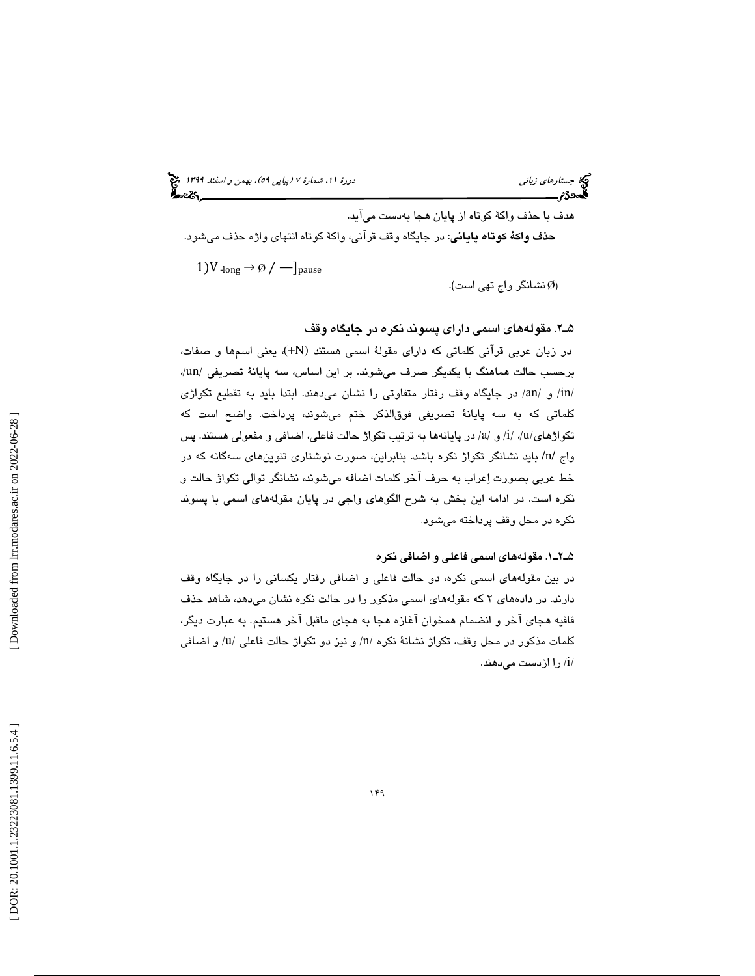هدف با حذف واكة كوتاه از پايان هجا بهدست ميآيد. حذف واكة كوتاه پاياني: در جايگاه وقف قرآني، واكة كوتاه انتهاي واژه حذف ميشود. 1)V  $_{\text{long}}$  →  $\emptyset$  /  $-$ ]<sub>pause</sub>

نشانگر واج تهي است ). Ø )

### 2ـ5 . مقولههاي اسمي داراي پسوند نكره در جايگاه وقف

در زبان عربی قرآنی کلماتی که دارای مقولهٔ اسمی هستند (HN+) یعنی اسمها و صفات، برحسب حالت هماهنگ با يكديگر صرف ميشوند. بر اين اساس، سه پايانة تصريفي /un،/ in/ و /an/ در جايگاه وقف رفتار متفاوتي را نشان ميدهند. ابتدا بايد به تقطيع تكواژي / كلماتي كه به سه پايانة تصريفي فوقالذكر ختم ميشوند، پرداخت. واضح است كه تكواژهای/u/، /i/ و /a/ در پایانهها به ترتیب تكواژ حالت فاعلی، اضافی و مفعولی هستند. پس واج /n/ بايد نشانگر تكواژ نكره باشد. بنابراين، صورت نوشتاري تنوينهاي سهگانه كه در خط عربي بصورت اعراب به حرف آخر كلمات اضافه ميشوند، نشانگر توالي تكواژ حالت و نكره است. در ادامه اين بخش به شرح الگوهای واجی در پايان مقولههای اسمی با پسوند<br>نكره در محل وقف پرداخته مي،شود.

### 1ـ2ـ5 . مقولههاي اسمي فاعلي و اضافي نكره

در بين مقولههاي اسمي نكره، دو حالت فاعلي و اضافي رفتار يكساني را در جايگاه وقف دارند. در دادههاي 2 كه مقولههاي اسمي مذكور را در حالت نكره نشان ميدهد، شاهد حذف قافيه هجاي آخر و انضمام همخوان آغازه هجا به هجاي ماقبل آخر هستيم. به عبارت ديگر، كلمات مذكور در محل وقف، تكواژ نشانهٔ نكره /n/ و نيز دو تكواژ حالت فاعلي /u/ و اضافي / را ازدست ميدهند. i /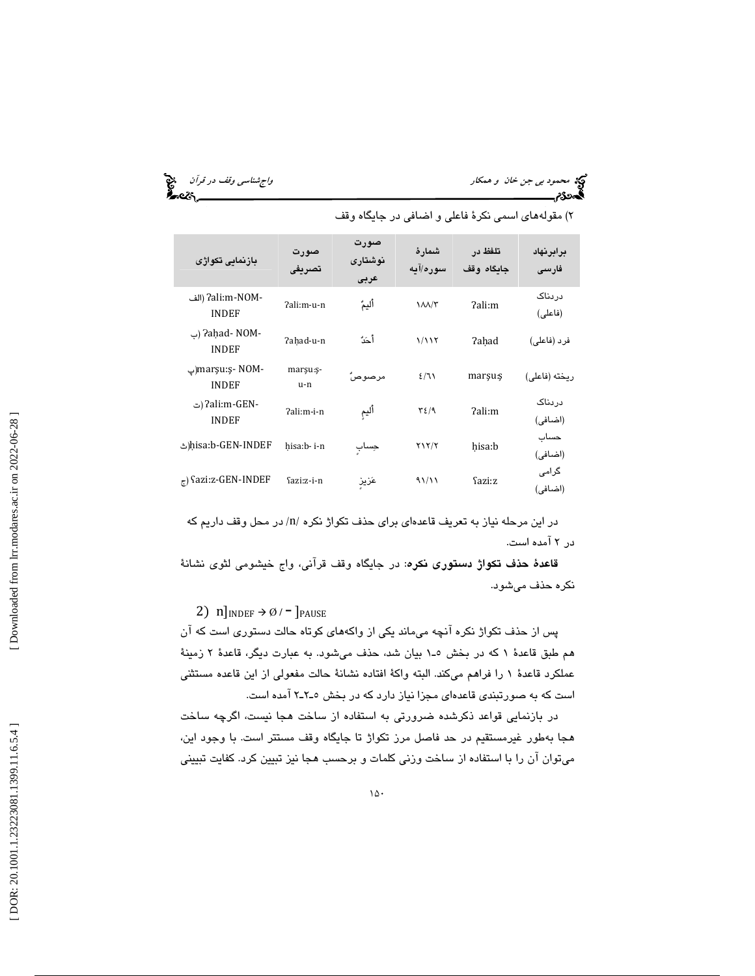محمود بي *جن خان و همكار واجهت المحمود بي جن خان و همكار واجشناسي وقف در قرآن واجهت بين المحمود و قرآن* واجهت ال<br>**المحمود بي حسن المحمود واجهت المحمود المحمود واجهت المحمود و المحمود و المحمود و المحمود و المحمود و المحمو** 

| بازنمايي تكواژى                  | صورت<br>تصريفي     | صورت<br>نوشتارى<br>عربى | شمار ۂ<br>سوره/آیه | تلفظ در<br>جاىگاە وقف | برابرنهاد<br>فارسى |
|----------------------------------|--------------------|-------------------------|--------------------|-----------------------|--------------------|
| -7ali:m-NOM (الف<br><b>INDEF</b> | ?ali:m-u-n         | أليمٌ                   | 1/M/T              | ?ali:m                | دردناک<br>(فاعلى)  |
| -Paḥad- NOM(ب<br><b>INDEF</b>    | 7ahad-u-n          | أحَدُّ                  | 1/117              | <b>?ahad</b>          | فرد (فاعلی)        |
| -marşu:ş- NOM(پ<br><b>INDEF</b>  | marşu: ş-<br>$u-n$ | مرصوصاً                 | 2/71               | marşu:ş               | ريخته (فاعلى)      |
| -2ali:m-GEN (ت<br><b>INDEF</b>   | ?ali:m-i-n         | أليم                    | $\tau$ { $\eta$    | ?ali:m                | دردناک<br>(اضافی)  |
| hisa:b-GEN-INDEF(ٹ               | hisa:b-i-n         | جساب                    | $Y \ Y / Y$        | hisa:b                | حساب<br>(اضافی)    |
| $_{\tau}$ ) fazi:z-GEN-INDEF     | fazi:z-i-n         | عَزيز                   | 91/11              | Sazi:z                | گرامی<br>(اضافی)   |

)2 مقولههاي اسمي نكرة فاعلي و اضافي در جايگاه وقف

در این مرحله نیاز به تعریف قاعدهای برای حذف تکواژ نکره /n/ در محل وقف داریم که در 2 آمده است.

قاعدهٔ حذف تكواژ دستوري نكره: در جايگاه وقف قرآني، واج خيشومي لثوي نشانهٔ نكره حذف ميشود.

2)  $n]_{INDEF} \rightarrow \emptyset$  / -  $]_{PAUSE}$ 

پس از حذف تكواژ نكره آنچه ميماند يكي از واكههاي كوتاه حالت دستوري است كه آن هم طبق قاعدة 1 كه در بخش 1ـ5 بيان شد، حذف ميشود. به عبارت ديگر، قاعدة 2 زمينة عملكرد قاعدة 1 را فراهم ميكند. البته واكة افتاده نشانة حالت مفعولي از اين قاعده مستثني است كه به صورتبندي قاعدهاي مجزا نياز دارد كه در بخش 2ـ2ـ5 آمده است.

در بازنمايي قواعد ذكرشده ضرورتي به استفاده از ساخت هجا نيست، اگرچه ساخت هجا بهطور غيرمستقيم در حد فاصل مرز تكواژ تا جايگاه وقف مستتر است. با وجود اين، ميتوان آن را با استفاده از ساخت وزني كلمات و برحسب هجا نيز تبيين كرد. كفايت تبييني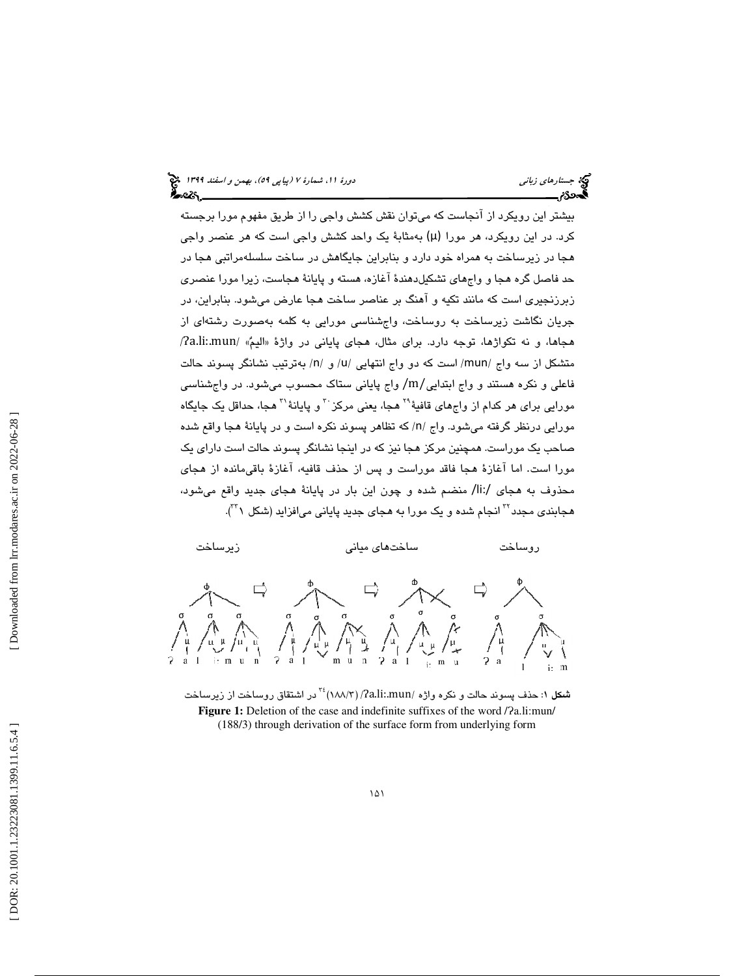بيشتر اين رويكرد از آنجاست كه ميتوان نقش كشش واجي را از طريق مفهوم مورا برجسته كرد. در اين رويكرد، هر مورا (μ (به مثابة يك واحد كشش واجي است كه هر عنصر واجي هجا در زيرساخت به همراه خود دارد و بنابراين جايگاهش در ساخت سلسلهمراتبي هجا در حد فاصل گره هجا و واجهاي تشكيلدهندة آغازه، هسته و پايانة هجاست، زيرا مورا عنصري زبرزنجيري است كه مانند تكيه و آهنگ بر عناصر ساخت هجا عارض ميشود. بنابراين، در جريان نگاشت زيرساخت به روساخت، واجشناسي مورايي به كلمه بهصورت رشتهاي از هجاها، و نه تكواژها، توجه دارد. براي مثال، هجاي پاياني در واژهٔ «اليمٌ» /a.li:.mun/ / بهترتيب نشانگر پسوند حالت / و /n متشكل از سه واج /mun/ است كه دو واج انتهايي /u فاعلي و نكره هستند و واج ابتدايي/m/ واج پاياني ستاك محسوب ميشود. در واجشناسي مورايي براي هر كدام از واجهاي قافيهٔ<sup>۲۹</sup> هجا، يعني مركز <sup>۳۰</sup> و پايانهٔ <sup>۳۱</sup> هجا، حداقل يک جايگاه مورايي درنظر گرفته ميشود. واج /n/ كه تظاهر پسوند نكره است و در پايانهٔ هجا واقع شده صاحب يك موراست. همچنين مركز هجا نيز كه در اينجا نشانگر پسوند حالت است داراي يك مورا است. اما آغازهٔ هجا فاقد موراست و پس از حذف قافیه، آغازهٔ باقیمانده از هجای محذوف به هجای /ii/ منضم شده و چون اين بار در پايانهٔ هجای جديد واقع ميشود، هجابن*دی* مجدد<sup>۲۲</sup> انجام شده و یک مورا به *ه*جای جدید پایانی میافزاید (شکل <sup>۳۲</sup>۱).



ش**کل** ۱: حذف پسوند حالت و نکره واژه /a.li:.mun/)<sup>۲٤</sup> در اشتقاق روساخت از زیرساخت Figure 1: Deletion of the case and indefinite suffixes of the word /?a.li:mun/ (188/3) through derivation of the surface form from underlying form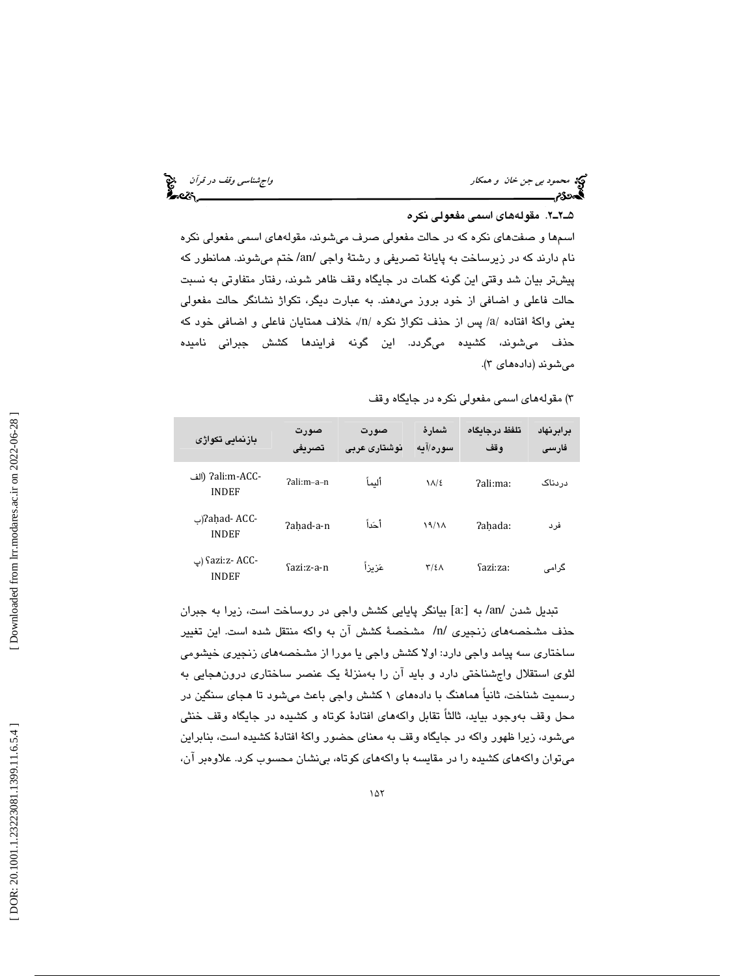محمود بي جن خان و همكار واجتمع المحمود بي جن خان و همكار واجشناسي وقف در قرآن و المحمود المحمود المحمود المحمو<br>المحمود المحمود المحمود المحمود المحمود المحمود المحمود المحمود المحمود المحمود المحمود المحمود المحمود المحمو

### 2ـ2ـ5 . مقولههاي اسمي مفعولي نكره

اسمها و صفتهاي نكره كه در حالت مفعولي صرف ميشوند، مقولههاي اسمي مفعولي نكره نام دارند كه در زيرساخت به پايانة تصريفي و رشتة واجي /an/ ختم ميشوند. همانطور كه پيشتر بيان شد وقتي اين گونه كلمات در جايگاه وقف ظاهر شوند، رفتار متفاوتي به نسبت حالت فاعلي و اضافي از خود بروز ميدهند. به عبارت ديگر، تكواژ نشانگر حالت مفعولي يعني واكة افتاده /a/ پس از حذف تكواژ نكره /n/، خلاف همتايان فاعلي و اضافي خود كه حذف ميشوند، كشيده ميگردد. اين گونه فرايندها كشش جبراني ناميده مي شوند (دادههاي ۳).

)3 مقولههاي اسمي مفعولي نكره در جايگاه وقف

| بازنمايي تكواژي                  | صورت<br>تصريفى | صورت<br>نوشتاری عربی | شمار ۂ<br>سوره/آیه   | تلفظ در جاىگاه<br>وقف | برابرنهاد<br>فارسى |
|----------------------------------|----------------|----------------------|----------------------|-----------------------|--------------------|
| -7ali:m-ACC (الف<br><b>INDEF</b> | ?ali:m-a-n     | أليمأ                | $\lambda / \epsilon$ | ?ali:ma:              | دردناک             |
| -2ahad- ACC(پ<br><b>INDEF</b>    | ?ahad-a-n      | أحَداً               | 19/1A                | ?ahada:               | فرد                |
| -Sazi:z- ACC (پ<br><b>INDEF</b>  | Sazi:z-a-n     | عَرْ يرْ أ           | $\frac{1}{2}$        | Sazi:za:              | گرامی              |

تبديل شدن /an/ به [:a [بيانگر پايايي كشش واجي در روساخت است، زيرا به جبران حذف مشخصههاي زنجيري /n/ مشخصة كشش آن به واكه منتقل شده است. اين تغيير ساختاري سه پيامد واجي دارد: اولا كشش واجي يا مورا از مشخصههاي زنجيري خيشومي لثوي استقلال واجشناختي دارد و بايد آن را بهمنزلة يك عنصر ساختاري درونهجايي به رسميت شناخت، ثانياً هماهنگ با دادههاي 1 كشش واجي باعث ميشود تا هجاي سنگين در محل وقف بهوجود بيايد، ثالثاً تقابل واكههاي افتادة كوتاه و كشيده در جايگاه وقف خنثي ميشود، زيرا ظهور واكه در جايگاه وقف به معناي حضور واكة افتادة كشيده است، بنابراين ميتوان واكههاي كشيده را در مقايسه با واكههاي كوتاه، بينشان محسوب كرد. علاوهبر آن،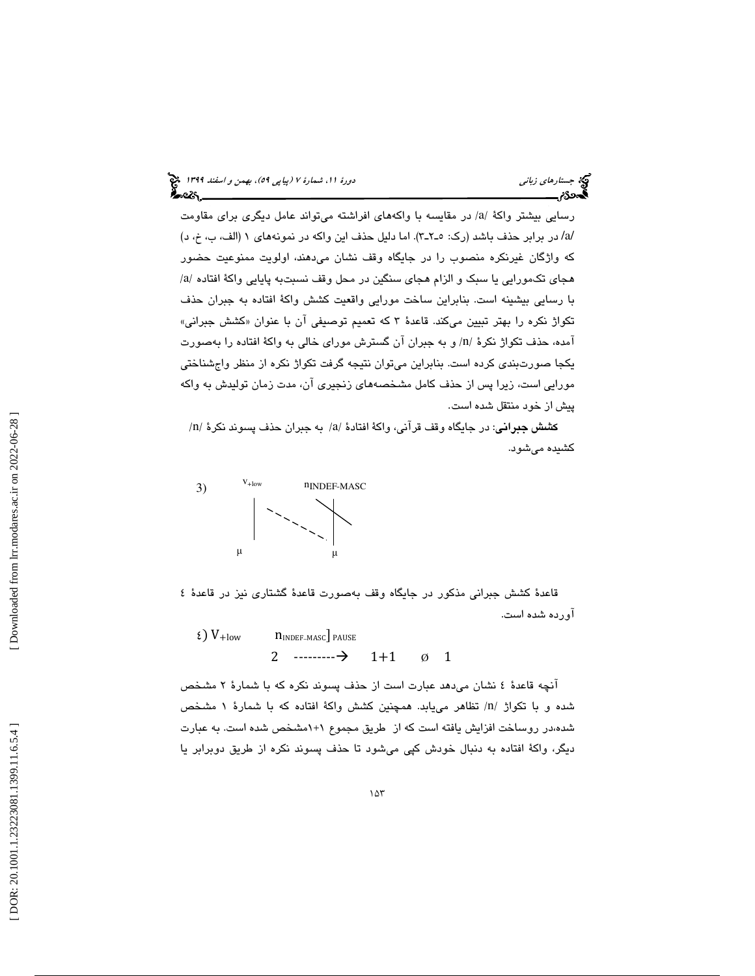رسايي بيشتر واكهٔ /a/ در مقايسه با واكههاي افراشته ميتواند عامل ديگری برای مقاومت /a/ در برابر حذف باشد (رك: 3ـ2ـ5 ). اما دليل حذف اين واكه در نمونههاي 1 (الف، ب، خ، د) كه واژگان غيرنكره منصوب را در جايگاه وقف نشان ميدهند، اولويت ممنوعيت حضور / هجاي تكمورايي يا سبك و الزام هجاي سنگين در محل وقف نسبتبه پايايي واكة افتاده /a با رسايي بيشينه است. بنابراين ساخت مورايي واقعيت كشش واكة افتاده به جبران حذف تكواژ نكره را بهتر تبيين مىكند. قاعدهٔ ۳ كه تعميم توصيفى ان با عنوان «كشش جبرانى» آمده، حذف تكواژ نكرهٔ /n/ و به جبران آن گسترش موراي خالي به واكهٔ افتاده را بهصورت يكجا صورتبندي كرده است. بنابراين ميتوان نتيجه گرفت تكواژ نكره از منظر واجشناختي مورايي است، زيرا پس از حذف كامل مشخصههاي زنجيري آن، مدت زمان توليدش به واكه پيش از خود منتقل شده است.

كشش جبراني: در جايگاه وقف قرآني، واكهٔ افتادهٔ /a/ به جبران حذف پسوند نكرهٔ /n/ كشيده ميشود.



قاعدة كشش جبراني مذكور در جايگاه وقف بهصورت قاعدة گشتاري نيز در قاعدة 4 آورده شده است.

 $\epsilon$ ) V<sub>+low</sub> -MASC ] PAUSE 2  $\cdots$   $\rightarrow$  1+1  $\emptyset$  1

آنچه قاعدة 4 نشان ميدهد عبارت است از حذف پسوند نكره كه با شمارة 2 مشخص شده و با تكواژ /n/ تظاهر مىيابد. همچنين كشش واكهٔ افتاده كه با شمارهٔ ۱ مشخص شده،در روساخت افزايش يافته است كه از طريق مجموع 1+1 مشخص شده است. به عبارت ديگر، واكة افتاده به دنبال خودش كپي ميشود تا حذف پسوند نكره از طريق دوبرابر يا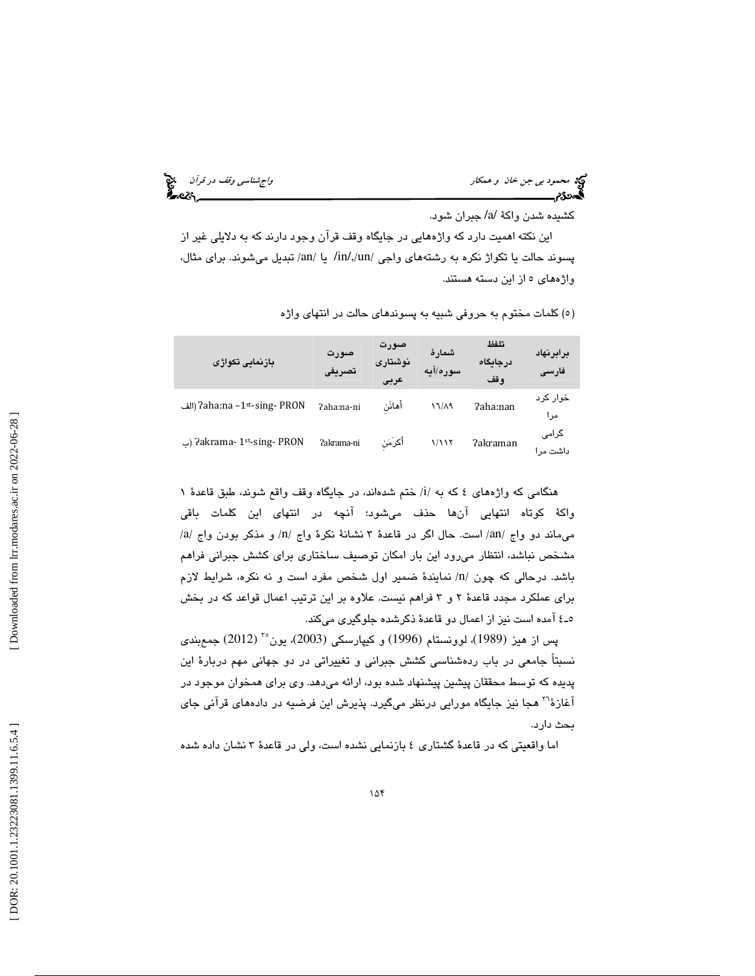محمود بي جن خان و همكار واجتمع المحمد بي جن خان و همكار واجشناسي وقف در قرآن و المحمد المحمد و المحمد المحمد ا<br>المحمد المحمد المحمد المحمد المحمد المحمد المحمد المحمد المحمد المحمد المحمد المحمد المحمد المحمد المحمد المحم

كشيده شدن واكة /a/ جبران شود.

 اين نكته اهميت دارد كه واژههايي در جايگاه وقف قرآن وجود دارند كه به دلايلي غير از پسوند حالت یا تکواژ نکره به رشتههای واجی /in/,/un/ یا /an/ تبدیل میشوند. برای مثال، واژههاي 5 از اين دسته هستند.

| بازنمايي تكواژي              | صورت<br>تصريف | صورت<br>نوشتارى<br>عربى | شمار ۂ<br>سوره/آبه | تلفظ<br>درجايگاه<br>وقف | برابرنهاد<br>فارسى |
|------------------------------|---------------|-------------------------|--------------------|-------------------------|--------------------|
| الف) ?aha:na −1st-sing- PRON | ?aha:na-ni    | أهائن                   | 17/19              | ?aha:nan                | خوار کرد<br>مر ا   |
| ات) ?akrama- 1st-sing- PRON  | ?akrama-ni    | أكرَمَن                 | 1/11٢              | ?akraman                | گرامی<br>داشت مرا  |

5( ) كلمات مختوم به حروفي شبيه به پسوندهاي حالت در انتهاي واژه

هنگامی که واژههای ٤ که به /i/ ختم شدهاند، در جایگاه وقف واقع شوند، طبق قاعدهٔ ١ واكة كوتاه انتهايي آنها حذف ميشود؛ آنچه در انتهاي اين كلمات باقي / / و مذكر بودن واج /a an/ است. حال اگر در قاعدة 3 نشانة نكرة واج /n ميماند دو واج / مشخص نباشد، انتظار ميرود اين بار امكان توصيف ساختاري براي كشش جبراني فراهم باشد. درحالي كه چون /n/ نمايندهٔ ضمير اول شخص مفرد است و نه نكره، شرايط لازم براي عملكرد مجدد قاعدة 2 3و فراهم نيست. علاوه بر اين ترتيب اعمال قواعد كه در بخش 4ـ5 آمده است نيز از اعمال دو قاعدة ذكرشده جلوگيري ميكند.

(2012) جمعبندي <sup>35</sup> پس از هيز (1989)، لوونستام (1996) و كيپارسكي (2003)، يون نسبتاً جامعي در باب ردهشناسي كشش جبراني و تغييراتي در دو جهاني مهم دربارة اين پديده كه توسط محققان پيشين پيشنهاد شده بود، ارائه ميدهد. وي براي همخوان موجود در آغازهٔ'<sup>۲</sup> هجا نيز جايگاه مورايي درنظر ميگيرد. پذيرش اين فرضيه در دادههاي قرآني جاي بحث دارد.

اما واقعيتي كه در قاعدة گشتاري 4 بازنمايي نشده است، ولي در قاعدة 3 نشان داده شده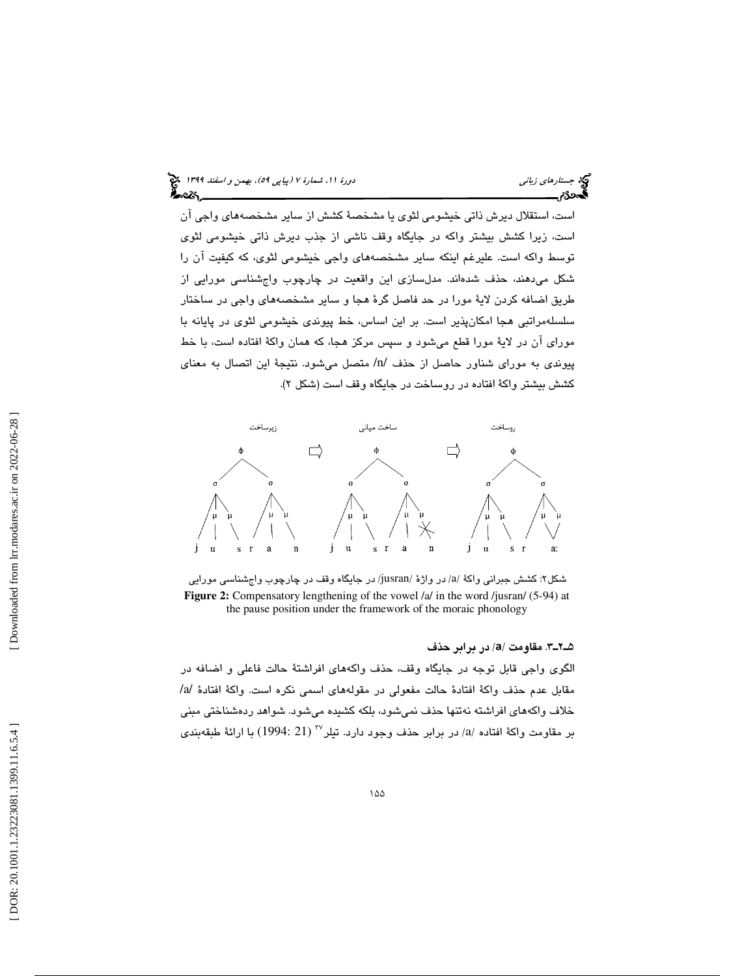است، استقلال ديرش ذاتي خيشومي لثوي يا مشخصة كشش از ساير مشخصههاي واجي آن است، زيرا كشش بيشتر واكه در جايگاه وقف ناشي از جذب ديرش ذاتي خيشومي لثوي توسط واكه است. عليرغم اينكه ساير مشخصههاي واجي خيشومي لثوي، كه كيفيت آن را شكل ميدهند، حذف شدهاند. مدلسازي اين واقعيت در چارچوب واجشناسي مورايي از طريق اضافه كردن لاية مورا در حد فاصل گرة هجا و ساير مشخصههاي واجي در ساختار سلسلهمراتبي هجا امكانپذير است. بر اين اساس، خط پيوندي خيشومي لثوي در پايانه با موراي آن در لاية مورا قطع ميشود و سپس مركز هجا، كه همان واكة افتاده است، با خط پيوندي به موراي شناور حاصل از حذف /n/ متصل ميشود. نتيجة اين اتصال به معناي كشش بيشتر واكة افتاده در روساخت در جايگاه وقف است (شكل )2.



شکل۲: کشش جبرانی واکهٔ /a/ در واژهٔ /jusran/ در جایگاه وقف در چارچوب واجشناسی مورایی **Figure 2:** Compensatory lengthening of the vowel /a/ in the word /jusran/ (5-94) at the pause position under the framework of the moraic phonology

/ در برابر حذف 3ـ2ـ5 . مقاومت /a

الگوي واجي قابل توجه در جايگاه وقف، حذف واكههاي افراشتة حالت فاعلي و اضافه در مقابل عدم حذف واكة افتادة حالت مفعولي در مقولههاي اسمي نكره است. واكة افتادة /a/ خلاف واكههاي افراشته نهتنها حذف نميشود، بلكه كشيده ميشود. شواهد ردهشناختي مبني بر مقاومت واكة افتاده /a/ در برابر حذف وجود دارد. تيلر $^{^\mathrm{vv}}$  (21 :1994) با ارائة طبقهبندى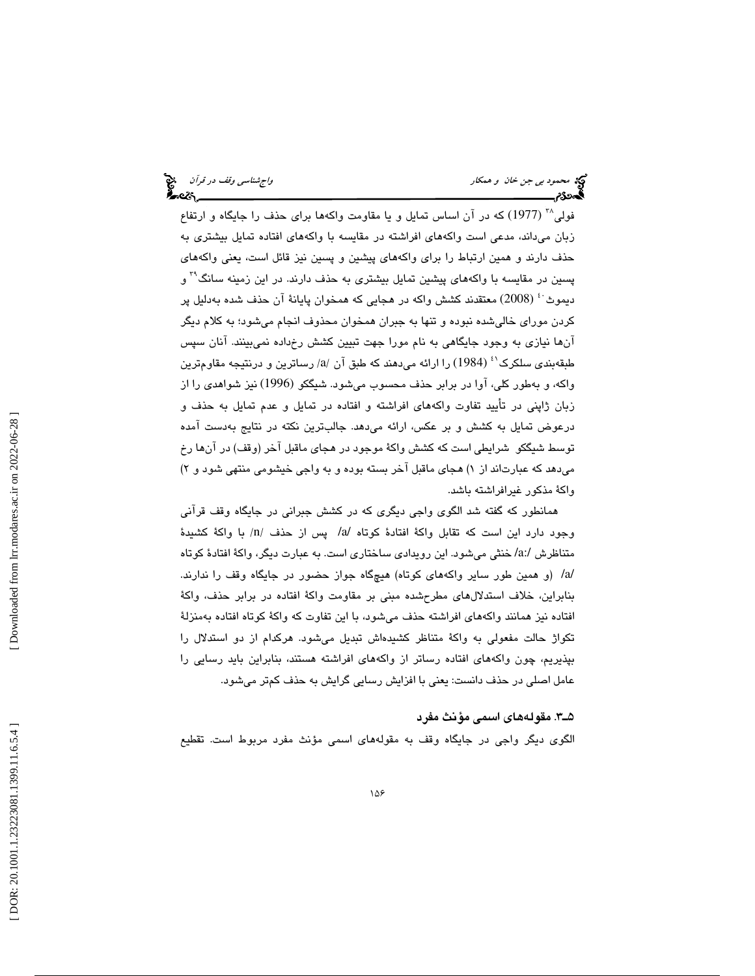$(1977)$  که در آن اساس تمايل و يا مقاومت واكهها براي حذف را جايگاه و ارتفاع بان ميداند، مدعي است واكههاي افراشته در مقايسه با واكههاي افتاده تمايل بيشتري به ز حذف دارند و همين ارتباط را براي واكههاي پيشين و پسين نيز قائل است، يعني واكههاي پسين در مقايسه با واكههای پيشين تمايل بيشتری به حذف دارند. در اين زمينه سانگ<sup>۳۹</sup> و ديموث<sup>.،</sup>ْ (2008) معتقدند كشش واكه در هجايي كه همخوان پايانهٔ آن حذف شده بهدليل پر كردن موراي خاليشده نبوده و تنها به جبران همخوان محذوف انجام ميشود؛ به كلام ديگر آنها نيازي به وجود جايگاهي به نام مورا جهت تبيين كشش رخداده نميبينند. آنان سپس طبقهبندی سلکرک<sup>٬٬</sup> (1984) را ارائه میدهند که طبق آن /a/ رساترین و درنتیجه مقاومترین واكه، و بهطور كلي، آوا در برابر حذف محسوب ميشود. شيگكو (1996) نيز شواهدي را از زبان ژاپني در تأييد تفاوت واكههاي افراشته و افتاده در تمايل و عدم تمايل به حذف و درعوض تمايل به كشش و بر عكس، ارائه ميدهد. جالبترين نكته در نتايج بهدست آمده توسط شيگكو شرايطي است كه كشش واكة موجود در هجاي ماقبل آخر (وقف) در آنها رخ میدهد که عبارتاند از ۱) هجای ماقبل اخر بسته بوده و به واجی خیشومی منتهی شود و ۲) واكة مذكور غيرافراشته باشد.

همانطور كه گفته شد الگوي واجي ديگري كه در كشش جبراني در جايگاه وقف قرآني وجود دارد اين است كه تقابل واكهٔ افتادهٔ كوتاه /a/ پس از حذف /n/ با واكهٔ كشيدهٔ متناظرش /a:/ خنثي مي شود. اين رويدادي ساختاري است. به عبارت ديگر، واكة افتادة كوتاه /a/) و همين طور ساير واكههاي كوتاه) هيچگاه جواز حضور در جايگاه وقف را ندارند. بنابراين، خلاف استدلالهاي مطرحشده مبني بر مقاومت واكة افتاده در برابر حذف، واكة افتاده نيز همانند واكههاي افراشته حذف ميشود، با اين تفاوت كه واكة كوتاه افتاده بهمنزلة تكواژ حالت مفعولي به واكة متناظر كشيدهاش تبديل ميشود. هركدام از دو استدلال را بپذيريم، چون واكههاي افتاده رساتر از واكههاي افراشته هستند، بنابراين بايد رسايي را عامل اصلي در حذف دانست: يعني با افزايش رسايي گرايش به حذف كمتر ميشود.

### 3ـ5 . مقولههاي اسمي مؤنث مفرد

الگوي ديگر واجي در جايگاه وقف به مقولههاي اسمي مؤنث مفرد مربوط است. تقطيع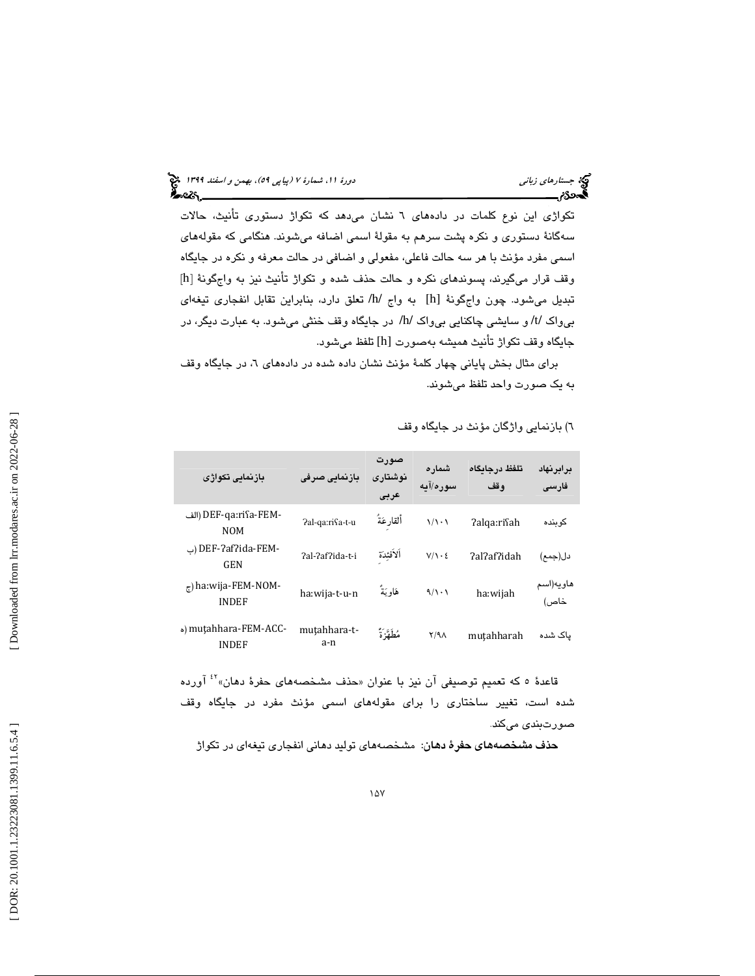تكواژي اين نوع كلمات در دادههاي 6 نشان ميدهد كه تكواژ دستوري تأنيث، حالات سهگانة دستوري و نكره پشت سرهم به مقولة اسمي اضافه ميشوند. هنگامي كه مقولههاي اسمي مفرد مؤنث با هر سه حالت فاعلي، مفعولي و اضافي در حالت معرفه و نكره در جايگاه [ وقف قرار ميگيرند، پسوندهاي نكره و حالت حذف شده و تكواژ تأنيث نيز به واجگونة [h تبديل مي شود. چون واجِگونة [h] به واج /h/ تعلق دارد، بنابراين تقابل انفجاري تيغهاي بيواك /t/ و سايشي چاكنايي بيواك /h/ در جايگاه وقف خنثي ميشود. به عبارت ديگر، در جايگاه وقف تكواژ تأنيث هميشه بهصورت [h [تلفظ ميشود.

برای مثال بخش پایانی چهار كلمهٔ مؤنث نشان داده شده در دادههای ٦، در جایگاه وقف به يك صورت واحد تلفظ ميشوند.

| بازنمائی تکواژی                              | بازنمایی صرفی       | صورت<br>نوشتارى<br>عربى | شمار ہ<br>سوره/آبه    | تلفظ درجائكاه<br>وقف | برابرنهاد<br>فارسى |
|----------------------------------------------|---------------------|-------------------------|-----------------------|----------------------|--------------------|
| -DEF-qa:riʕa-FEM (الف<br><b>NOM</b>          | Pal-qa:rifa-t-u     | ألقارعَةُ               | $\sqrt{\cdot}$        | ?alqa:risah          | کو بندہ            |
| -DEF-?af?ida-FEM (پ<br><b>GEN</b>            | ?al-?af?ida-t-i     | ألأفئِدَة               | $V/\Lambda \cdot \xi$ | ?al?af?idah          | دل(جمع)            |
| $_{\tau}$ ) ha:wija-FEM-NOM-<br><b>INDEF</b> | ha:wija-t-u-n       | هَاوِيَةٌ               | 9/1.1                 | ha:wijah             | هاويه(اسم<br>خاص)  |
| o) mutahhara-FEM-ACC-<br><b>INDEF</b>        | mutahhara-t-<br>a-n | مُطَهَّزَةً             | $Y/9\Lambda$          | mutahharah           | یاک شده            |

) بازنمايي واژگان مؤنث در جايگاه وقف 6

قاعدهٔ ٥ که تعمیم توصیفی آن نیز با عنوان «حذف مشخصههای حفرهٔ دهان»<sup>٤٢</sup> آورده شده است، تغيير ساختاري را براي مقولههاي اسمي مؤنث مفرد در جايگاه وقف صورتبندي ميكند .

**حذف مشخصههای حفرهٔ دهان**: مشخصههای تولید دهانی انفجاری تیغهای در تکواژ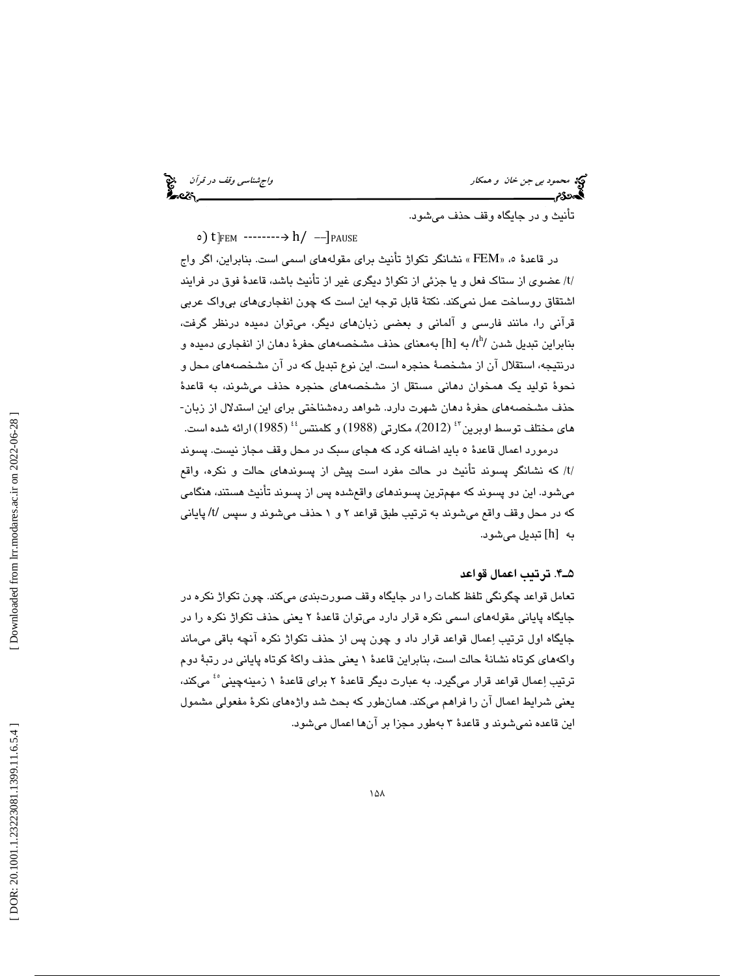محمود بي جن خان و همكار واجتمع العالمي وقف در قرآن واجتمع العالمي وقف در قرآن واجهتناسي وقف در قرآن واجبا<br>ال**ج**معی العالمي العالمي و العالمي العالمي و العالمي و العالمي و العالمي و العالمي و العالمي و العالمي و العالم<br>الع

تأنيث و در جايگاه وقف حذف ميشود.

5) t ]FEM -------- h/ --]PAUSE

در قاعدة «، 5 FEM « نشانگر تكواژ تأنيث براي مقولههاي اسمي است. بنابراين، اگر واج /t/ عضوى از ستاک فعل و يا جزئي از تکواژ ديگرى غير از تأنيث باشد، قاعدۀ فوق در فرايند اشتقاق روساخت عمل نميكند. نكتة قابل توجه اين است كه چون انفجاريهاي بيواك عربي قرآني را، مانند فارسي و آلماني و بعضي زبانهاي ديگر، ميتوان دميده درنظر گرفت، بنابراین تبدیل شدن /tʰ/ به [h] بهمعنای حذف مشخصههای حفرهٔ دهان از انفجاری دمیده و درنتيجه، استقلال آن از مشخصة حنجره است. اين نوع تبديل كه در آن مشخصههاي محل و نحوة توليد يك همخوان دهاني مستقل از مشخصههاي حنجره حذف ميشوند، به قاعدة حذف مشخصههاي حفرة دهان شهرت دارد. شواهد ردهشناختي براي اين استدلال از زبان- های مختلف توسط اوبرین $^{\mathbf{\mathit{t}}}$  (2012)، مکارتی (1988) و کلمنتس $^{\mathbf{\mathit{t}}}$  (1985) ارائه شده است.

درمورد اعمال قاعدة 5 بايد اضافه كرد كه هجاي سبك در محل وقف مجاز نيست. پسوند /t/ كه نشانگر پسوند تأنيث در حالت مفرد است پيش از پسوندهاى حالت و نكره، واقع ميشود. اين دو پسوند كه مهمترين پسوندهاي واقعشده پس از پسوند تأنيث هستند، هنگامي كه در محل وقف واقع ميشوند به ترتيب طبق قواعد 1و 2 حذف ميشوند و سپس /t/ پاياني به [h] تبديل ميشود.

### 4ـ5 . ترتيب اعمال قواعد

تعامل قواعد چگونگي تلفظ كلمات را در جايگاه وقف صورتبندي ميكند. چون تكواژ نكره در جايگاه پاياني مقولههاي اسمي نكره قرار دارد ميتوان قاعدة 2 يعني حذف تكواژ نكره را در جايگاه اول ترتيب اعمال قواعد قرار داد و چون پس از حذف تكواژ نكره آنچه باقي ميماند واكههاي كوتاه نشانة حالت است، بنابراين قاعدة 1 يعني حذف واكة كوتاه پاياني در رتبة دوم ترتيب اِعمال قواعد قرار ميگيرد. به عبارت ديگر قاعدهٔ ۲ براي قاعدهٔ ۱ زمينهچيني<sup>،،</sup> ميكند، يعني شرايط اعمال آن را فراهم ميكند. همانطور كه بحث شد واژههاي نكرة مفعولي مشمول اين قاعده نمي شوند و قاعدهٔ ۳ بهطور مجزا بر آنها اعمال مي شود.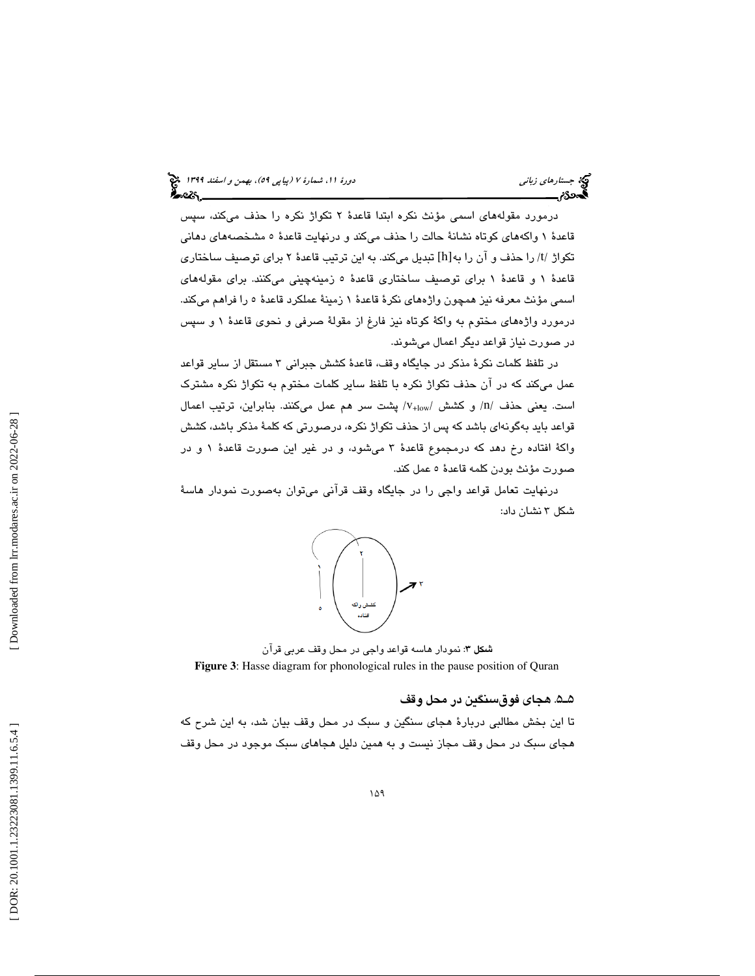درمورد مقولههاي اسمي مؤنث نكره ابتدا قاعدة 2 تكواژ نكره را حذف ميكند، سپس قاعدة 1 واكههاي كوتاه نشانة حالت را حذف ميكند و درنهايت قاعدة 5 مشخصههاي دهاني تكواژ /t/ را حذف و آن را به[h] تبديل مىكند. به اين ترتيب قاعدهٔ ۲ براى توصيف ساختارى قاعدة 1 و قاعدة 1 براي توصيف ساختاري قاعدة 5 زمينهچيني ميكنند. براي مقولههاي اسمي مؤنث معرفه نيز همچون واژههاي نكرة قاعدة 1 زمينة عملكرد قاعدة 5 را فراهم ميكند. درمورد واژههاي مختوم به واكة كوتاه نيز فارغ از مقولة صرفي و نحوي قاعدة 1 و سپس در صورت نياز قواعد ديگر اعمال ميشوند.

در تلفظ كلمات نكرة مذكر در جايگاه وقف، قاعدة كشش جبراني 3 مستقل از ساير قواعد عمل ميكند كه در آن حذف تكواژ نكره با تلفظ ساير كلمات مختوم به تكواژ نكره مشترك است. يعني حذف /n/ و كشش /v<sub>+low</sub> پشت سر هم عمل ميكنند. بنابراين، ترتيب اعمال قواعد بايد بهگونهاي باشد كه پس از حذف تكواژ نكره، درصورتي كه كلمة مذكر باشد، كشش واكة افتاده رخ دهد كه درمجموع قاعدة 3 ميشود، و در غير اين صورت قاعدة 1 و در صورت مؤنث بودن كلمه قاعدة 5 عمل كند.



درنهايت تعامل قواعد واجي را در جايگاه وقف قرآني ميتوان بهصورت نمودار هاسة

: نمودار هاسه قواعد واجي در محل وقف عربي قرآن شكل 3 **Figure 3**: Hasse diagram for phonological rules in the pause position of Quran

### 5ـ5 . هجاي فوقسنگين در محل وقف

 تا اين بخش مطالبي دربارة هجاي سنگين و سبك در محل وقف بيان شد، به اين شرح كه هجاي سبك در محل وقف مجاز نيست و به همين دليل هجاهاي سبك موجود در محل وقف

شكل 3 نشان داد: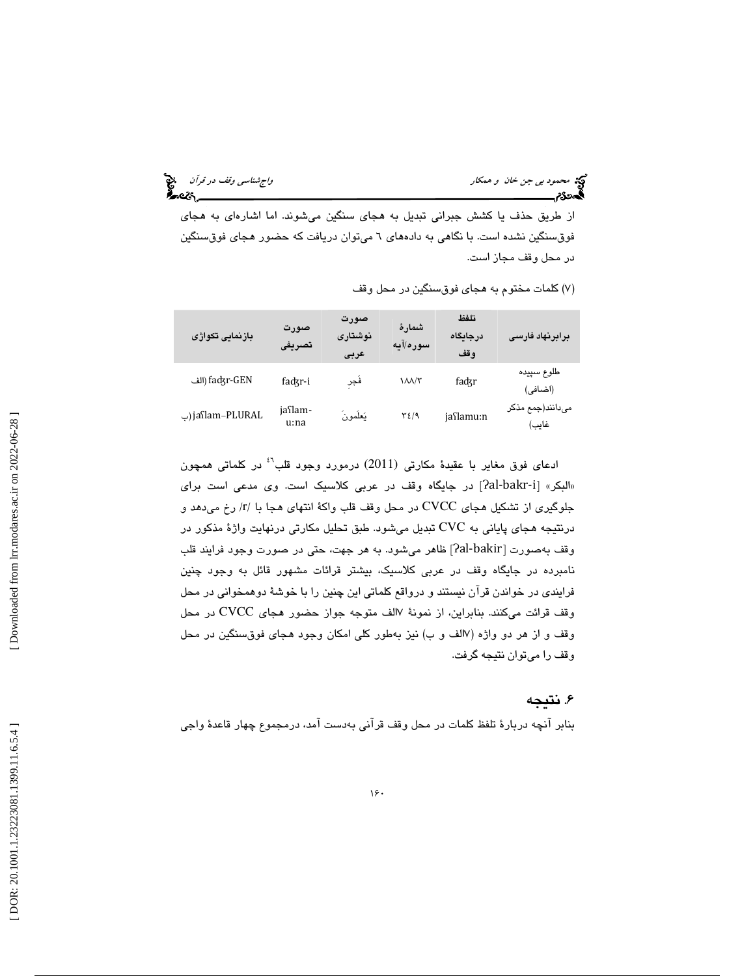محمود بي *جن خان و همكار واجهت المحمود بي جن خان و همكار واجشناسي وقف در قرآن م*حمود بي جن خان و همكار واجب المح<br>**المحمود محمود المحمول والمحمول المحمول المحمول المحمول المحمول المحمول المحمول المحمول المحمول المحمول المح** 

از طريق حذف يا كشش جبراني تبديل به هجاي سنگين ميشوند. اما اشارهاي به هجاي فوقسنگين نشده است. با نگاهي به دادههاي 6 ميتوان دريافت كه حضور هجاي فوقسنگين در محل وقف مجاز است.

| بازنمایی تکواژی  | صورت<br>تصريفى  | صورت<br>نوشتارى<br>عربى | شمارهٔ<br>سوره/آیه        | تلفظ<br>درجايگاه<br>وقف | برابرنهاد فارسى           |
|------------------|-----------------|-------------------------|---------------------------|-------------------------|---------------------------|
| الف) fadʒr-GEN   | fadgr-i         | فجر                     | $\Lambda\Lambda/\Upsilon$ | fadgr                   | طلوع سپيده<br>(اضافی)     |
| ب) jaSlam–PLURAL | jaslam-<br>u:na | يَعلَمونَ               | ۳٤/۹                      | jaslamu:n               | میدانند(جمع مذکر<br>غايب) |

7( ) كلمات مختوم به هجاي فوقسنگين در محل وقف

ادعاي فوق مغاير با عقيدة مكارتي (2011) درمورد وجود قلب<sup>י،</sup> در كلماتي همچون «البكر» [Aal-bakr-i] در جايگاه وقف در عربي كلاسيک است. وی مدعی است برای جلوگیری از تشکیل هجای CVCC در محل وقف قلب واکهٔ انتهای هجا با /r/ رخ می $\iota$ هد و درنتيجه هجاي پاياني به CVC تبديل ميشود. طبق تحليل مكارتي درنهايت واژة مذكور در وقف بهصورت [ʔal-bakir] ظاهر میشود. به هر جهت، حتی در صورت وجود فرایند قلب نامبرده در جايگاه وقف در عربي كلاسيك، بيشتر قرائات مشهور قائل به وجود چنين فرايندي در خواندن قرآن نيستند و درواقع كلماتي اين چنين را با خوشة دوهمخواني در محل وقف قرائت مىكنند. بنابراين، از نمونهٔ ۱۷لف متوجه جواز حضور هجاى CVCC در محل وقف و از هر دو واژه (۷الف و ب) نيز بهطور كلي امكان وجود هجاي فوق $سنگين در محل$ وقف را ميتوان نتيجه گرفت. سما السلام السلام السلام السلام السلام السلام السلام السلام السلام السلام السلام السلام السلام السلام السلام ا<br>ادعاى فوق مغاولو با عقيدة مكانتى ([20](https://lrr.modares.ac.ir/article-14-26927-fa.html)11) در دورد وجود الس<sup>لام</sup> السلام السلام السلام السلام السلام السلام السلام

## . نتيجه 6

بنابر آنچه دربارة تلفظ كلمات در محل وقف قرآني بهدست آمد، درمجموع چهار قاعدة واجي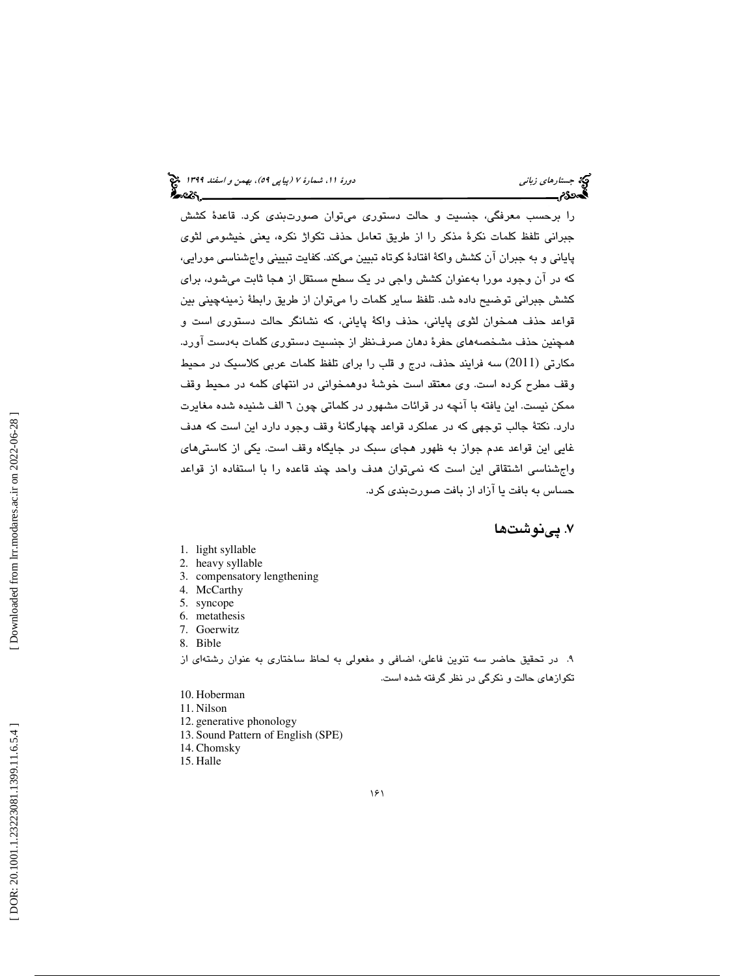را برحسب معرفگي، جنسيت و حالت دستوري ميتوان صورتبندي كرد. قاعدة كشش جبراني تلفظ كلمات نكرة مذكر را از طريق تعامل حذف تكواژ نكره، يعني خيشومي لثوي پاياني و به جبران آن كشش واكة افتادة كوتاه تبيين ميكند. كفايت تبييني واجشناسي مورايي، كه در آن وجود مورا بهعنوان كشش واجي در يك سطح مستقل از هجا ثابت ميشود، براي كشش جبراني توضيح داده شد. تلفظ ساير كلمات را ميتوان از طريق رابطة زمينهچيني بين قواعد حذف همخوان لثوي پاياني، حذف واكة پاياني، كه نشانگر حالت دستوري است و همچنين حذف مشخصههاي حفرة دهان صرفنظر از جنسيت دستوري كلمات بهدست آورد. مكارتي (2011) سه فرايند حذف، درج و قلب را براي تلفظ كلمات عربي كلاسيك در محيط وقف مطرح كرده است. وي معتقد است خوشة دوهمخواني در انتهاي كلمه در محيط وقف ممكن نيست. اين يافته با آنچه در قرائات مشهور در كلماتي چون 6 الف شنيده شده مغايرت دارد. نكتة جالب توجهي كه در عملكرد قواعد چهارگانة وقف وجود دارد اين است كه هدف غايي اين قواعد عدم جواز به ظهور هجاي سبك در جايگاه وقف است. يكي از كاستيهاي واجشناسي اشتقاقي اين است كه نميتوان هدف واحد چند قاعده را با استفاده از قواعد حساس به بافت يا آزاد از بافت صورتبندي كرد.

## . پينوشت ها 7

- 1. light syllable
- 2. heavy syllable
- 3. compensatory lengthening
- 4. McCarthy
- 5. syncope
- 6. metathesis
- 7. Goerwitz
- 8. Bible

9. در تحقيق حاضر سه تنوين فاعلي، اضافي و مفعولي به لحاظ ساختاري به عنوان رشتهاي از تكوازهاي حالت و نكرگي در نظر گرفته شده است.

- 10. Hoberman
- 11. Nilson
- 12. generative phonology
- 13. Sound Pattern of English (SPE)
- 14. Chomsky
- 15. Halle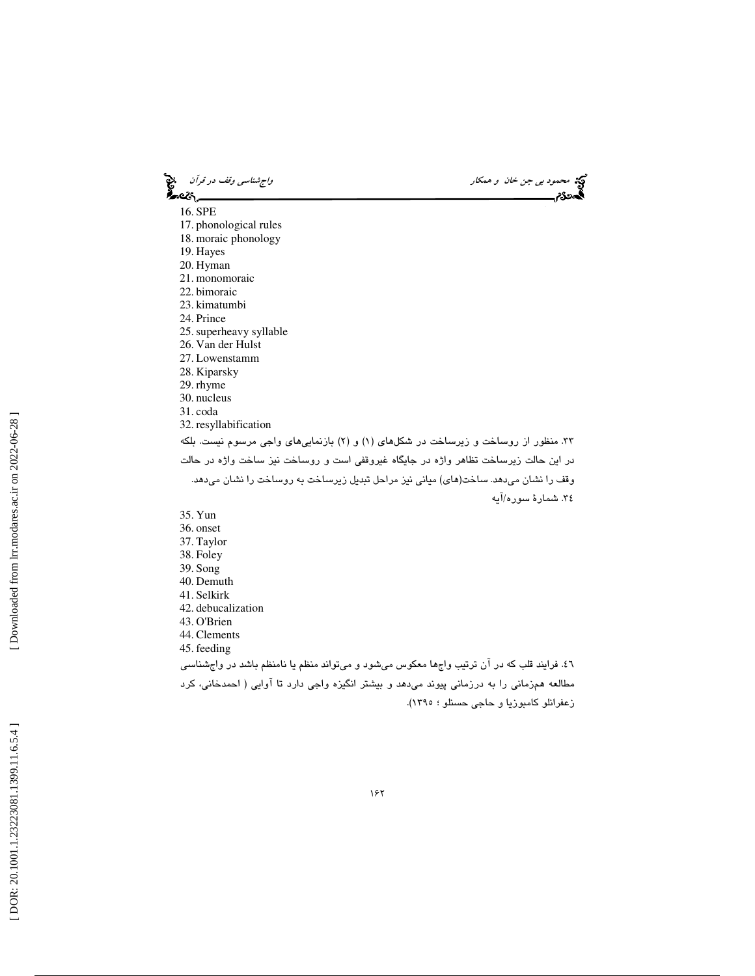محمود بي جن خان و همكار واجتناسي وقف در قرآن و محمد المحمود بي جن خان و همكار واجشناسي وقف در قرآن و محمد المح<br>المحمد المحمد المحمد المحمد المحمد المحمد المحمد المحمد المحمد المحمد المحمد المحمد المحمد المحمد المحمد المحم 16. SPE 17. phonological rules 18. moraic phonology 19. Hayes 20. Hyman 21. monomoraic 22. bimoraic 23. kimatumbi 24. Prince 25.superheavy syllable 26. Van der Hulst 27. Lowenstamm 28. Kiparsky 29. rhyme 30. nucleus 31. coda 32. resyllabification ۳۳. منظور از روساخت و زیرساخت در شکلهای (۱) و (۲) بازنماییهای واجی مرسوم نیست. بلکه در اين حالت زيرساخت تظاهر واژه در جايگاه غيروقفي است و روساخت نيز ساخت واژه در حالت وقف را نشان ميدهد. ساخت(هاي) مياني نيز مراحل تبديل زيرساخت به روساخت را نشان ميدهد. 34. شمار ة سوره/آيه 35. Yun 36. onset 37. Taylor 38. Foley 39. Song 40. Demuth 41. Selkirk 42. debucalization 43. O'Brien 44. Clements 45. feeding

46. فرايند قلب كه در آن ترتيب واجها معكوس ميشود و ميتواند منظم يا نامنظم باشد در واجشناسي مطالعه همزماني را به درزماني پيوند ميدهد و بيشتر انگيزه واجي دارد تا آوايي ( احمدخاني، كرد زعفرانلو كامبوزيا و حاجي حسنلو ؛ 1395).

 [\[ DOR: 20.1001.1.23223081.1399.11.6.5.4](https://dorl.net/dor/20.1001.1.23223081.1399.11.6.5.4) ] [\[ Downloaded from lrr.modares.ac.ir on 20](https://lrr.modares.ac.ir/article-14-26927-fa.html)22-06-28 ] Downloaded from lrr.modares.ac.ir on 2022-06-28 ]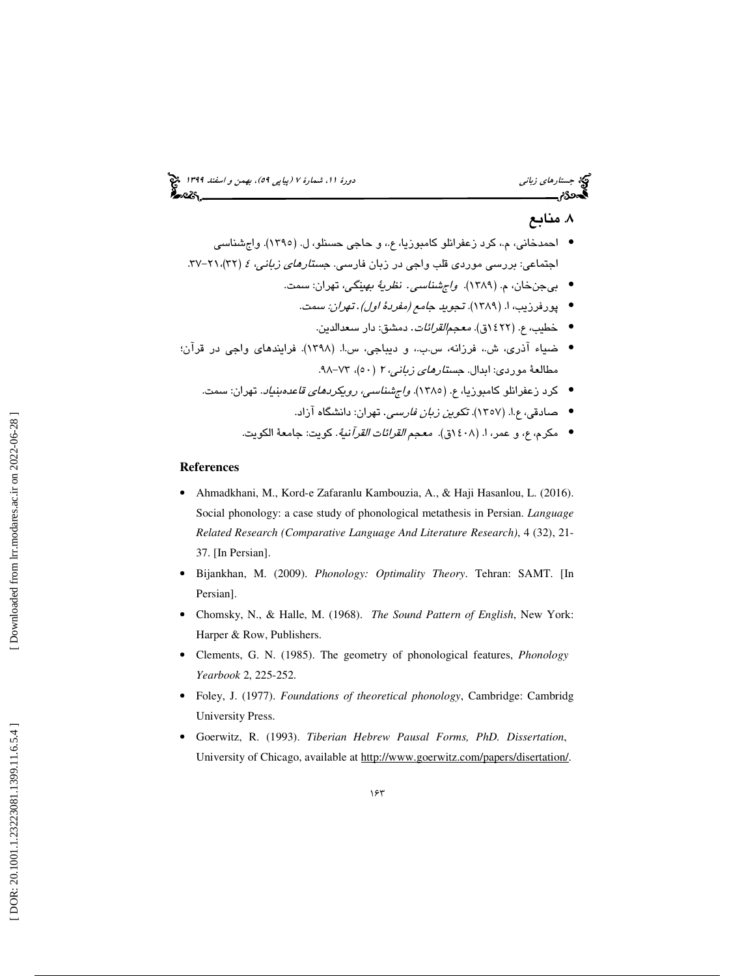## . منابع 8

- احمدخانی، م.، کرد زعفرانلو کامبوزیا، ع.، و حاجی حسنلو، ل. (١٣٩٥). واجشناسی اجتماعی: بررسی موردی قلب واجی در زبان فارسی. ج*ستارهای زبانی، ٤* (۳۲)،۲۱-۳۷.
	- بيجنخان، م. (١٣٨٩). *واڄشناسي. نظريةُ به*ين*گي*، تهران: سمت.
		- پورفرزيب، ا. (١٣٨٩). تج*ويد جامع (مفردهٔ اول) . تهران: سمت.* 
			- خطيب، ع. (٢٢٤ق). *معجم القرائات*. دمشق: دار سعدالدين.
- ضياء آذري، ش،. فرزانه، س.ب،. و ديباجي، س.ا. (1398). فرايندهاي واجي در قرآن؛ مطالعهٔ موردی: ابدال. *جستارهای زبانی، ۲ (*۵۰)، ۷۳–۹۸.
	- كرد زعفرانلو كامبوزيا، ع. (1385). واجشناسي، رويكردهاي قاعدهبنياد. تهران: سمت.
		- صادقی، ع.ا. (١٣٥٧). تک*وین زبان فارسی.* تهران: دانشگاه آزاد.
		- مكرم، ع، و عمر، ا. (١٤٠٨ق). معجم *القرائات القرآ*ني*ة*. كويت: جامعة الكويت.

### **References**

- Ahmadkhani, M., Kord-e Zafaranlu Kambouzia, A., & Haji Hasanlou, L. (2016). Social phonology: a case study of phonological metathesis in Persian. *Language Related Research (Comparative Language And Literature Research)*, 4 (32), 21- 37. [In Persian].
- Bijankhan, M. (2009). *Phonology: Optimality Theory*. Tehran: SAMT. [In Persian].
- Chomsky, N., & Halle, M. (1968). *The Sound Pattern of English*, New York: Harper & Row, Publishers.
- Clements, G. N. (1985). The geometry of phonological features, *Phonology Yearbook* 2, 225-252.
- Foley, J. (1977). *Foundations of theoretical phonology*, Cambridge: Cambridg University Press.
- Goerwitz, R. (1993). *Tiberian Hebrew Pausal Forms, PhD. Dissertation*, University of Chicago, available at http://www.goerwitz.com/papers/disertation/.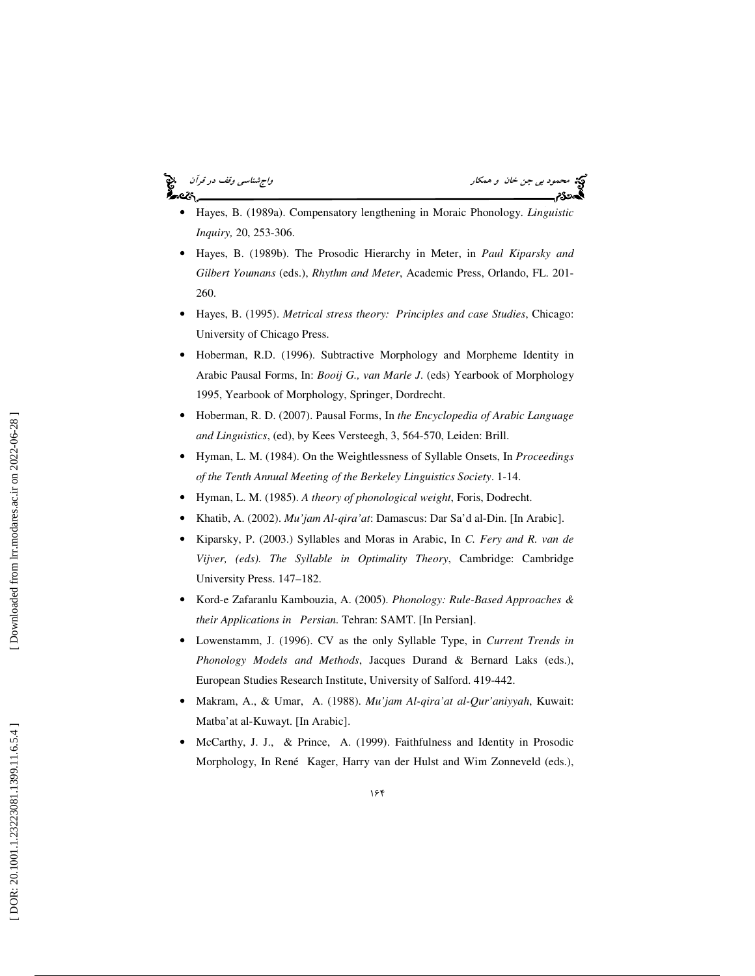# æs.

محمود بي جن خان و همكار واجتماع السياسي وقف در قرآن واجه السي وقف در قرآن واجهشناسي وقف در قرآن<br>**السين السين السين السين السين السين السين السين السين السين السين السين السين السين السين السين السين السين ال** 

- Hayes, B. (1989a). Compensatory lengthening in Moraic Phonology. *Linguistic Inquiry,* 20, 253-306.
- Hayes, B. (1989b). The Prosodic Hierarchy in Meter, in *Paul Kiparsky and Gilbert Youmans* (eds.), *Rhythm and Meter*, Academic Press, Orlando, FL. 201- 260.
- Hayes, B. (1995). *Metrical stress theory: Principles and case Studie s*, Chicago: University of Chicago Press.
- Hoberman, R.D. (1996). Subtractive Morphology and Morpheme Identity in Arabic Pausal Forms, In: *Booij G., van Marle J*. (eds) Yearbook of Morphology 1995, Yearbook of Morphology, Springer, Dordrecht.
- Hoberman, R. D. (2007). Pausal Forms, In *the Encyclopedia of Arabic Language and Linguistics*, (ed), by Kees Versteegh, 3, 564-570, Leiden: Brill.
- Hyman, L. M. (1984). On the Weightlessness of Syllable Onsets, In *Proceedings of the Tenth Annual Meeting of the Berkeley Linguistics Society*. 1-14.
- Hyman, L. M. (1985). *A theory of phonological weight*, Foris, Dodrecht.
- Khatib, A. (2002). *Mu'jam Al-qira'at*: Damascus: Dar Sa'd al-Din. [In Arabic].
- Kiparsky, P. (2003.) Syllables and Moras in Arabic, In *C. Fery and R. van de Vijver, (eds). The Syllable in Optimality Theory*, Cambridge: Cambridge University Press. 147–182.
- Kord-e Zafaranlu Kambouzia, A. (2005). *Phonology: Rule-Based Approaches & their Applications in Persian.* Tehran: SAMT. [In Persian].
- Lowenstamm, J. (1996). CV as the only Syllable Type, in *Current Trends in Phonology Models and Methods*, Jacques Durand & Bernard Laks (eds.), European Studies Research Institute, University of Salford. 419-442.
- Makram, A., & Umar, A. (1988). *Mu'jam Al-qira'at al-Qur'aniyyah*, Kuwait: Matba'at al-Kuwayt. [In Arabic].
- McCarthy, J. J., & Prince, A. (1999). Faithfulness and Identity in Prosodic Morphology, In René Kager, Harry van der Hulst and Wim Zonneveld (eds.),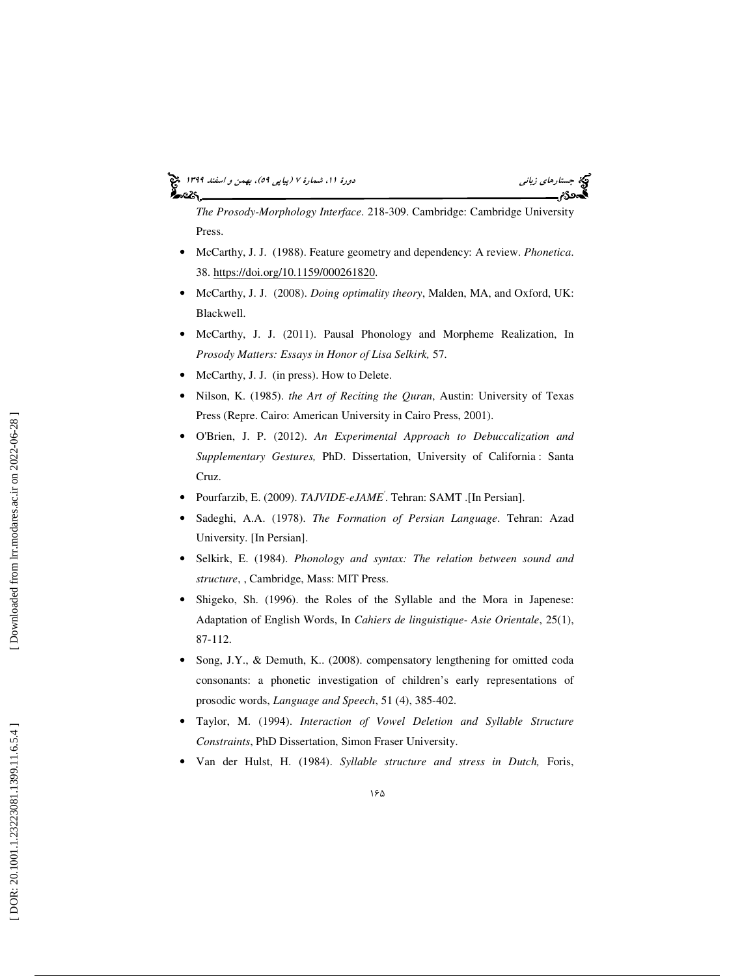### جستاره*اي زباني هاي بيمن و اسفند 1*149 او استعماره بيمارة 70 (پياپي 69)، بهمن و اسفند 1394 ا أحددكم



*The Prosody-Morphology Interface*. 218-309. Cambridge: Cambridge University Press.

- McCarthy, J. J. (1988). Feature geometry and dependency: A review. *Phonetica*. 38. https://doi.org/10.1159/000261820.
- McCarthy, J. J. (2008). *Doing optimality theory*, Malden, MA, and Oxford, UK: Blackwell.
- McCarthy, J. J. (2011). Pausal Phonology and Morpheme Realization, In *Prosody Matters: Essays in Honor of Lisa Selkirk,* 57.
- McCarthy, J. J. (in press). How to Delete.
- Nilson, K. (1985). *the Art of Reciting the Quran*, Austin: University of Texas Press (Repre. Cairo: American University in Cairo Press, 2001).
- O'Brien, J. P. (2012). *An Experimental Approach to Debuccalization and Supplementary Gestures,* PhD. Dissertation, University of California : Santa Cruz.
- Pourfarzib, E. (2009). *TAJVIDE-eJAME'*. Tehran: SAMT .[In Persian].
- Sadeghi, A.A. (1978). *The Formation of Persian Language*. Tehran: Azad University. [In Persian].
- Selkirk, E. (1984). *Phonology and syntax: The relation between sound and structure*, , Cambridge, Mass: MIT Press.
- Shigeko, Sh. (1996). the Roles of the Syllable and the Mora in Japenese: Adaptation of English Words, In *Cahiers de linguistique- Asie Orientale*, 25(1), 87-112.
- Song, J.Y., & Demuth, K.. (2008). compensatory lengthening for omitted coda consonants: a phonetic investigation of children's early representations of prosodic words, *Language and Speech*, 51 (4), 385-402.
- Taylor, M. (1994). *Interaction of Vowel Deletion and Syllable Structure Constraints*, PhD Dissertation, Simon Fraser University.
- Van der Hulst, H. (1984). *Syllable structure and stress in Dutch,* Foris,